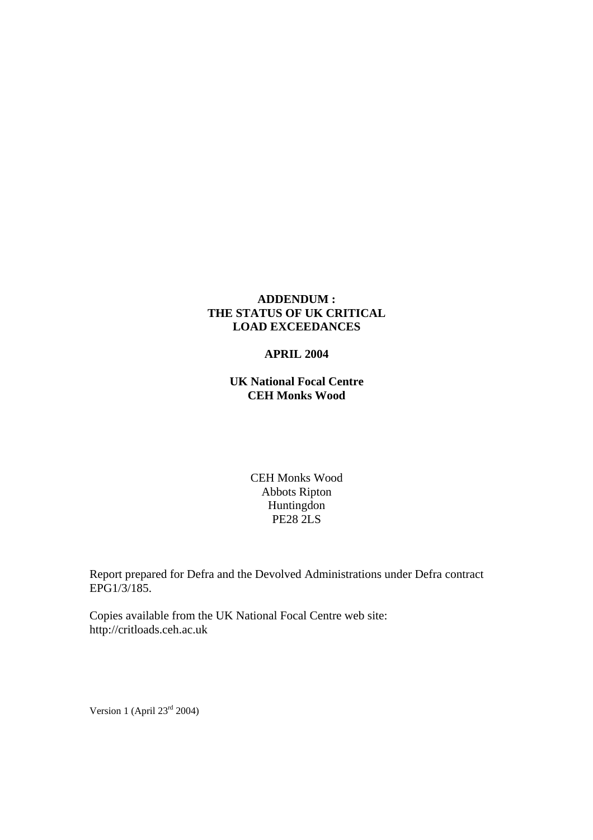## **ADDENDUM : THE STATUS OF UK CRITICAL LOAD EXCEEDANCES**

### **APRIL 2004**

**UK National Focal Centre CEH Monks Wood** 

> CEH Monks Wood Abbots Ripton Huntingdon PE28 2LS

Report prepared for Defra and the Devolved Administrations under Defra contract EPG1/3/185.

Copies available from the UK National Focal Centre web site: http://critloads.ceh.ac.uk

Version 1 (April 23<sup>rd</sup> 2004)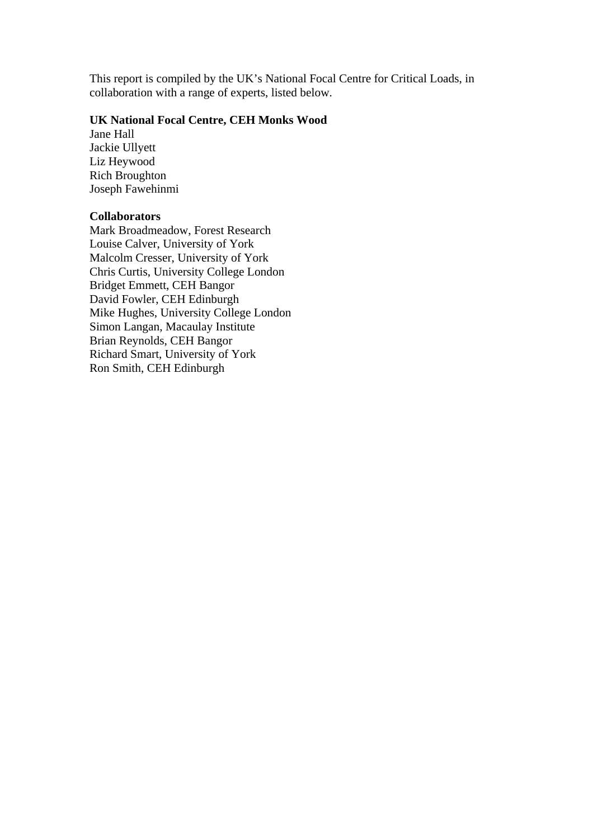This report is compiled by the UK's National Focal Centre for Critical Loads, in collaboration with a range of experts, listed below.

## **UK National Focal Centre, CEH Monks Wood**

Jane Hall Jackie Ullyett Liz Heywood Rich Broughton Joseph Fawehinmi

## **Collaborators**

Mark Broadmeadow, Forest Research Louise Calver, University of York Malcolm Cresser, University of York Chris Curtis, University College London Bridget Emmett, CEH Bangor David Fowler, CEH Edinburgh Mike Hughes, University College London Simon Langan, Macaulay Institute Brian Reynolds, CEH Bangor Richard Smart, University of York Ron Smith, CEH Edinburgh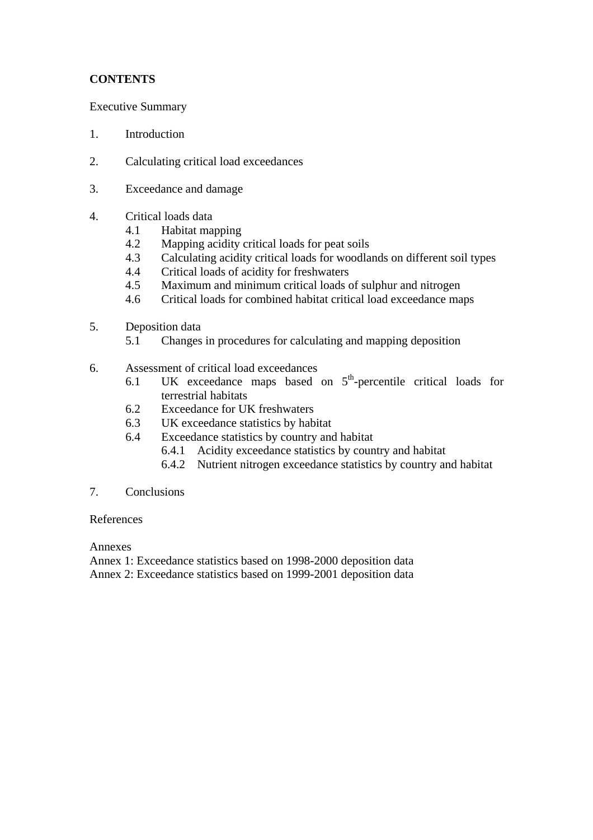# **CONTENTS**

Executive Summary

- 1. Introduction
- 2. Calculating critical load exceedances
- 3. Exceedance and damage
- 4. Critical loads data
	- 4.1 Habitat mapping
	- 4.2 Mapping acidity critical loads for peat soils
	- 4.3 Calculating acidity critical loads for woodlands on different soil types
	- 4.4 Critical loads of acidity for freshwaters
	- 4.5 Maximum and minimum critical loads of sulphur and nitrogen
	- 4.6 Critical loads for combined habitat critical load exceedance maps
- 5. Deposition data
	- 5.1 Changes in procedures for calculating and mapping deposition
- 6. Assessment of critical load exceedances
	- 6.1 UK exceedance maps based on  $5<sup>th</sup>$ -percentile critical loads for terrestrial habitats
	- 6.2 Exceedance for UK freshwaters
	- 6.3 UK exceedance statistics by habitat
	- 6.4 Exceedance statistics by country and habitat
		- 6.4.1 Acidity exceedance statistics by country and habitat
		- 6.4.2 Nutrient nitrogen exceedance statistics by country and habitat

## 7. Conclusions

## References

Annexes

Annex 1: Exceedance statistics based on 1998-2000 deposition data Annex 2: Exceedance statistics based on 1999-2001 deposition data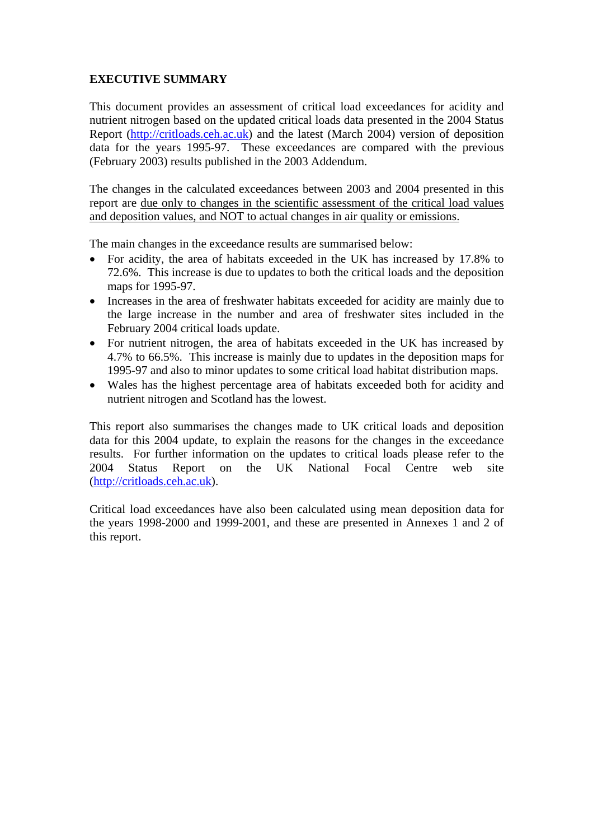# **EXECUTIVE SUMMARY**

This document provides an assessment of critical load exceedances for acidity and nutrient nitrogen based on the updated critical loads data presented in the 2004 Status Report (http://critloads.ceh.ac.uk) and the latest (March 2004) version of deposition data for the years 1995-97. These exceedances are compared with the previous (February 2003) results published in the 2003 Addendum.

The changes in the calculated exceedances between 2003 and 2004 presented in this report are due only to changes in the scientific assessment of the critical load values and deposition values, and NOT to actual changes in air quality or emissions.

The main changes in the exceedance results are summarised below:

- For acidity, the area of habitats exceeded in the UK has increased by 17.8% to 72.6%. This increase is due to updates to both the critical loads and the deposition maps for 1995-97.
- Increases in the area of freshwater habitats exceeded for acidity are mainly due to the large increase in the number and area of freshwater sites included in the February 2004 critical loads update.
- For nutrient nitrogen, the area of habitats exceeded in the UK has increased by 4.7% to 66.5%. This increase is mainly due to updates in the deposition maps for 1995-97 and also to minor updates to some critical load habitat distribution maps.
- Wales has the highest percentage area of habitats exceeded both for acidity and nutrient nitrogen and Scotland has the lowest.

This report also summarises the changes made to UK critical loads and deposition data for this 2004 update, to explain the reasons for the changes in the exceedance results. For further information on the updates to critical loads please refer to the 2004 Status Report on the UK National Focal Centre web site (http://critloads.ceh.ac.uk).

Critical load exceedances have also been calculated using mean deposition data for the years 1998-2000 and 1999-2001, and these are presented in Annexes 1 and 2 of this report.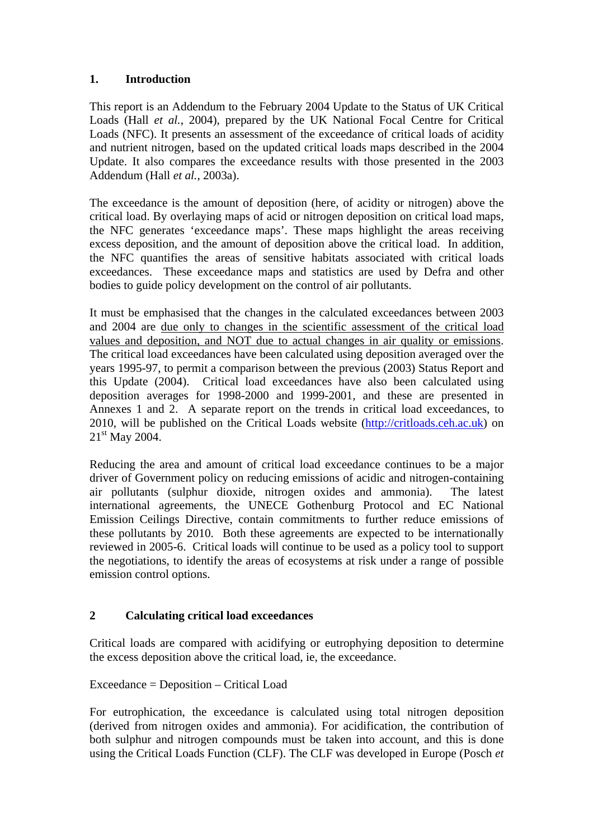# **1. Introduction**

This report is an Addendum to the February 2004 Update to the Status of UK Critical Loads (Hall *et al.*, 2004), prepared by the UK National Focal Centre for Critical Loads (NFC). It presents an assessment of the exceedance of critical loads of acidity and nutrient nitrogen, based on the updated critical loads maps described in the 2004 Update. It also compares the exceedance results with those presented in the 2003 Addendum (Hall *et al.*, 2003a).

The exceedance is the amount of deposition (here, of acidity or nitrogen) above the critical load. By overlaying maps of acid or nitrogen deposition on critical load maps, the NFC generates 'exceedance maps'. These maps highlight the areas receiving excess deposition, and the amount of deposition above the critical load. In addition, the NFC quantifies the areas of sensitive habitats associated with critical loads exceedances. These exceedance maps and statistics are used by Defra and other bodies to guide policy development on the control of air pollutants.

It must be emphasised that the changes in the calculated exceedances between 2003 and 2004 are due only to changes in the scientific assessment of the critical load values and deposition, and NOT due to actual changes in air quality or emissions. The critical load exceedances have been calculated using deposition averaged over the years 1995-97, to permit a comparison between the previous (2003) Status Report and this Update (2004). Critical load exceedances have also been calculated using deposition averages for 1998-2000 and 1999-2001, and these are presented in Annexes 1 and 2. A separate report on the trends in critical load exceedances, to 2010, will be published on the Critical Loads website (http://critloads.ceh.ac.uk) on 21<sup>st</sup> May 2004.

Reducing the area and amount of critical load exceedance continues to be a major driver of Government policy on reducing emissions of acidic and nitrogen-containing air pollutants (sulphur dioxide, nitrogen oxides and ammonia). The latest international agreements, the UNECE Gothenburg Protocol and EC National Emission Ceilings Directive, contain commitments to further reduce emissions of these pollutants by 2010. Both these agreements are expected to be internationally reviewed in 2005-6. Critical loads will continue to be used as a policy tool to support the negotiations, to identify the areas of ecosystems at risk under a range of possible emission control options.

# **2 Calculating critical load exceedances**

Critical loads are compared with acidifying or eutrophying deposition to determine the excess deposition above the critical load, ie, the exceedance.

# Exceedance = Deposition – Critical Load

For eutrophication, the exceedance is calculated using total nitrogen deposition (derived from nitrogen oxides and ammonia). For acidification, the contribution of both sulphur and nitrogen compounds must be taken into account, and this is done using the Critical Loads Function (CLF). The CLF was developed in Europe (Posch *et*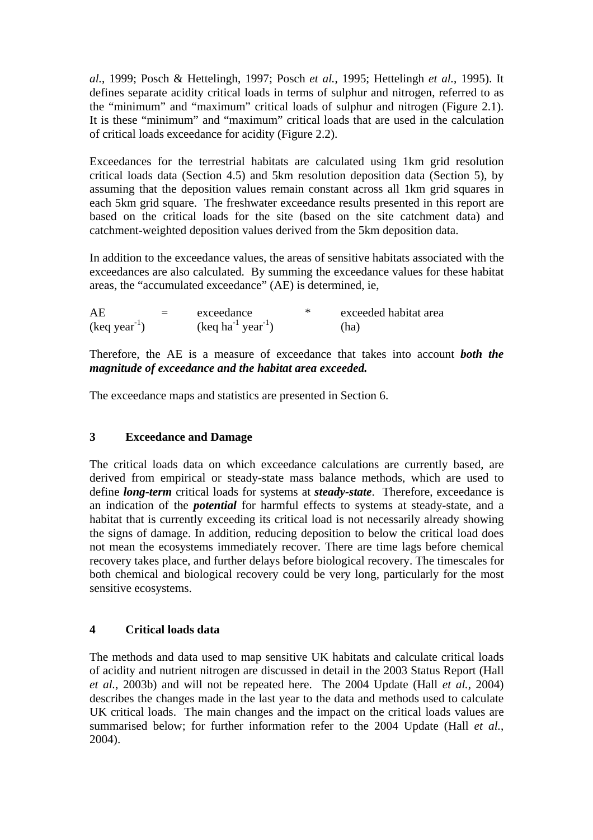*al.*, 1999; Posch & Hettelingh, 1997; Posch *et al.*, 1995; Hettelingh *et al.*, 1995). It defines separate acidity critical loads in terms of sulphur and nitrogen, referred to as the "minimum" and "maximum" critical loads of sulphur and nitrogen (Figure 2.1). It is these "minimum" and "maximum" critical loads that are used in the calculation of critical loads exceedance for acidity (Figure 2.2).

Exceedances for the terrestrial habitats are calculated using 1km grid resolution critical loads data (Section 4.5) and 5km resolution deposition data (Section 5), by assuming that the deposition values remain constant across all 1km grid squares in each 5km grid square. The freshwater exceedance results presented in this report are based on the critical loads for the site (based on the site catchment data) and catchment-weighted deposition values derived from the 5km deposition data.

In addition to the exceedance values, the areas of sensitive habitats associated with the exceedances are also calculated. By summing the exceedance values for these habitat areas, the "accumulated exceedance" (AE) is determined, ie,

| AE             | $=$ | exceedance                               | ∗ | exceeded habitat area |
|----------------|-----|------------------------------------------|---|-----------------------|
| $(keq year-1)$ |     | $(\text{keq ha}^{-1} \text{ year}^{-1})$ |   | (ha)                  |

Therefore, the AE is a measure of exceedance that takes into account *both the magnitude of exceedance and the habitat area exceeded.*

The exceedance maps and statistics are presented in Section 6.

# **3 Exceedance and Damage**

The critical loads data on which exceedance calculations are currently based, are derived from empirical or steady-state mass balance methods, which are used to define *long-term* critical loads for systems at *steady-state*. Therefore, exceedance is an indication of the *potential* for harmful effects to systems at steady-state, and a habitat that is currently exceeding its critical load is not necessarily already showing the signs of damage. In addition, reducing deposition to below the critical load does not mean the ecosystems immediately recover. There are time lags before chemical recovery takes place, and further delays before biological recovery. The timescales for both chemical and biological recovery could be very long, particularly for the most sensitive ecosystems.

# **4 Critical loads data**

The methods and data used to map sensitive UK habitats and calculate critical loads of acidity and nutrient nitrogen are discussed in detail in the 2003 Status Report (Hall *et al.*, 2003b) and will not be repeated here. The 2004 Update (Hall *et al.*, 2004) describes the changes made in the last year to the data and methods used to calculate UK critical loads. The main changes and the impact on the critical loads values are summarised below; for further information refer to the 2004 Update (Hall *et al.*, 2004).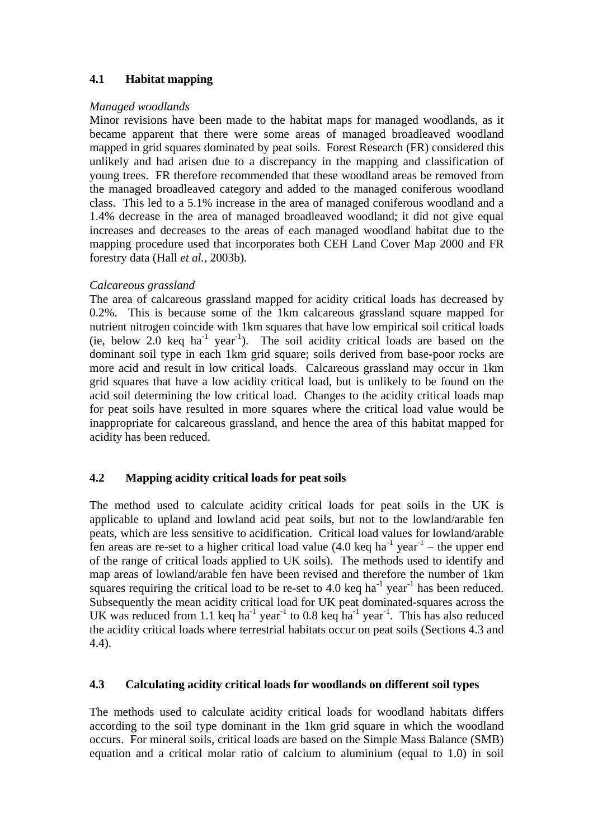# **4.1 Habitat mapping**

## *Managed woodlands*

Minor revisions have been made to the habitat maps for managed woodlands, as it became apparent that there were some areas of managed broadleaved woodland mapped in grid squares dominated by peat soils. Forest Research (FR) considered this unlikely and had arisen due to a discrepancy in the mapping and classification of young trees. FR therefore recommended that these woodland areas be removed from the managed broadleaved category and added to the managed coniferous woodland class. This led to a 5.1% increase in the area of managed coniferous woodland and a 1.4% decrease in the area of managed broadleaved woodland; it did not give equal increases and decreases to the areas of each managed woodland habitat due to the mapping procedure used that incorporates both CEH Land Cover Map 2000 and FR forestry data (Hall *et al.*, 2003b).

# *Calcareous grassland*

The area of calcareous grassland mapped for acidity critical loads has decreased by 0.2%. This is because some of the 1km calcareous grassland square mapped for nutrient nitrogen coincide with 1km squares that have low empirical soil critical loads (ie, below 2.0 keq  $ha^{-1}$  year<sup>-1</sup>). The soil acidity critical loads are based on the dominant soil type in each 1km grid square; soils derived from base-poor rocks are more acid and result in low critical loads. Calcareous grassland may occur in 1km grid squares that have a low acidity critical load, but is unlikely to be found on the acid soil determining the low critical load. Changes to the acidity critical loads map for peat soils have resulted in more squares where the critical load value would be inappropriate for calcareous grassland, and hence the area of this habitat mapped for acidity has been reduced.

# **4.2 Mapping acidity critical loads for peat soils**

The method used to calculate acidity critical loads for peat soils in the UK is applicable to upland and lowland acid peat soils, but not to the lowland/arable fen peats, which are less sensitive to acidification. Critical load values for lowland/arable fen areas are re-set to a higher critical load value  $(4.0 \text{ keq ha}^{-1} \text{ year}^{-1}$  – the upper end of the range of critical loads applied to UK soils). The methods used to identify and map areas of lowland/arable fen have been revised and therefore the number of 1km squares requiring the critical load to be re-set to 4.0 keq ha<sup>-1</sup> year<sup>-1</sup> has been reduced. Subsequently the mean acidity critical load for UK peat dominated-squares across the UK was reduced from 1.1 keq ha<sup>-1</sup> year<sup>-1</sup> to 0.8 keq ha<sup>-1</sup> year<sup>-1</sup>. This has also reduced the acidity critical loads where terrestrial habitats occur on peat soils (Sections 4.3 and 4.4).

# **4.3 Calculating acidity critical loads for woodlands on different soil types**

The methods used to calculate acidity critical loads for woodland habitats differs according to the soil type dominant in the 1km grid square in which the woodland occurs. For mineral soils, critical loads are based on the Simple Mass Balance (SMB) equation and a critical molar ratio of calcium to aluminium (equal to 1.0) in soil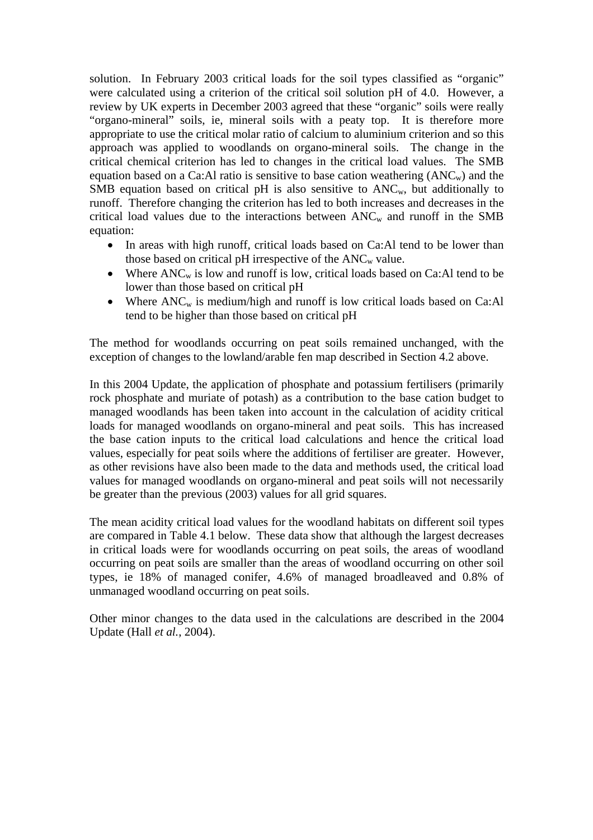solution. In February 2003 critical loads for the soil types classified as "organic" were calculated using a criterion of the critical soil solution pH of 4.0. However, a review by UK experts in December 2003 agreed that these "organic" soils were really "organo-mineral" soils, ie, mineral soils with a peaty top. It is therefore more appropriate to use the critical molar ratio of calcium to aluminium criterion and so this approach was applied to woodlands on organo-mineral soils. The change in the critical chemical criterion has led to changes in the critical load values. The SMB equation based on a Ca:Al ratio is sensitive to base cation weathering  $(ANC<sub>w</sub>)$  and the SMB equation based on critical pH is also sensitive to  $ANC<sub>w</sub>$ , but additionally to runoff. Therefore changing the criterion has led to both increases and decreases in the critical load values due to the interactions between  $ANC<sub>w</sub>$  and runoff in the SMB equation:

- In areas with high runoff, critical loads based on Ca:Al tend to be lower than those based on critical pH irrespective of the  $ANC_w$  value.
- Where  $ANC_w$  is low and runoff is low, critical loads based on Ca:Al tend to be lower than those based on critical pH
- Where  $ANC_w$  is medium/high and runoff is low critical loads based on Ca:Al tend to be higher than those based on critical pH

The method for woodlands occurring on peat soils remained unchanged, with the exception of changes to the lowland/arable fen map described in Section 4.2 above.

In this 2004 Update, the application of phosphate and potassium fertilisers (primarily rock phosphate and muriate of potash) as a contribution to the base cation budget to managed woodlands has been taken into account in the calculation of acidity critical loads for managed woodlands on organo-mineral and peat soils. This has increased the base cation inputs to the critical load calculations and hence the critical load values, especially for peat soils where the additions of fertiliser are greater. However, as other revisions have also been made to the data and methods used, the critical load values for managed woodlands on organo-mineral and peat soils will not necessarily be greater than the previous (2003) values for all grid squares.

The mean acidity critical load values for the woodland habitats on different soil types are compared in Table 4.1 below. These data show that although the largest decreases in critical loads were for woodlands occurring on peat soils, the areas of woodland occurring on peat soils are smaller than the areas of woodland occurring on other soil types, ie 18% of managed conifer, 4.6% of managed broadleaved and 0.8% of unmanaged woodland occurring on peat soils.

Other minor changes to the data used in the calculations are described in the 2004 Update (Hall *et al.*, 2004).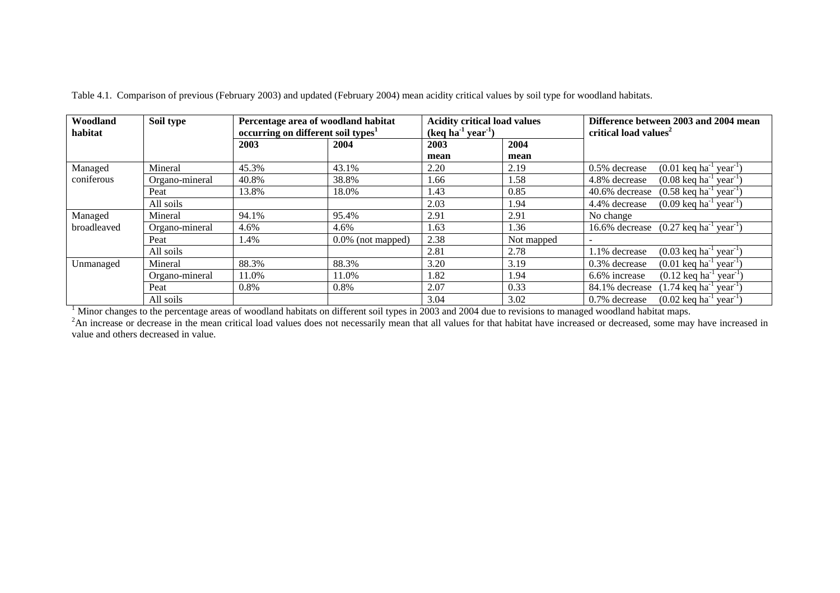| Woodland<br>habitat | Soil type      | Percentage area of woodland habitat<br>occurring on different soil types <sup>1</sup> |                      | <b>Acidity critical load values</b><br>$(\text{keq ha}^1 \text{ year}^1)$ |            | Difference between 2003 and 2004 mean<br>critical load values <sup>2</sup>                     |
|---------------------|----------------|---------------------------------------------------------------------------------------|----------------------|---------------------------------------------------------------------------|------------|------------------------------------------------------------------------------------------------|
|                     |                | 2003                                                                                  | 2004                 | 2003                                                                      | 2004       |                                                                                                |
|                     |                |                                                                                       |                      | mean                                                                      | mean       |                                                                                                |
| Managed             | Mineral        | 45.3%                                                                                 | 43.1%                | 2.20                                                                      | 2.19       | $(0.01 \text{ keq ha}^{-1} \text{ year}^{-1})$<br>0.5% decrease                                |
| coniferous          | Organo-mineral | 40.8%                                                                                 | 38.8%                | 1.66                                                                      | 1.58       | 4.8% decrease<br>$(0.08 \text{ keq} \text{ ha}^{-1} \text{ year}^{-1})$                        |
|                     | Peat           | 13.8%                                                                                 | 18.0%                | 1.43                                                                      | 0.85       | 40.6% decrease<br>$(0.58 \text{ keq ha}^{-1} \text{ year}^{-1})$                               |
|                     | All soils      |                                                                                       |                      | 2.03                                                                      | 1.94       | $(0.09 \text{ keq ha}^{-1} \text{ year}^{-1})$<br>4.4% decrease                                |
| Managed             | Mineral        | 94.1%                                                                                 | 95.4%                | 2.91                                                                      | 2.91       | No change                                                                                      |
| broadleaved         | Organo-mineral | 4.6%                                                                                  | 4.6%                 | 1.63                                                                      | 1.36       | 16.6% decrease<br>$(0.27 \text{ keq ha}^{-1} \text{ year}^{-1})$                               |
|                     | Peat           | l.4%                                                                                  | $0.0\%$ (not mapped) | 2.38                                                                      | Not mapped |                                                                                                |
|                     | All soils      |                                                                                       |                      | 2.81                                                                      | 2.78       | $(0.03 \text{ keq} \text{ ha}^{-1} \text{ year}^{-1})$<br>1.1% decrease                        |
| Unmanaged           | Mineral        | 88.3%                                                                                 | 88.3%                | 3.20                                                                      | 3.19       | 0.3% decrease<br>$(0.01 \text{ keq ha}^{-1} \text{ year}^{-1})$                                |
|                     | Organo-mineral | 11.0%                                                                                 | 11.0%                | 1.82                                                                      | 1.94       | 6.6% increase<br>$(0.12 \text{ keq ha}^{-1} \text{ year}^{-1})$                                |
|                     | Peat           | 0.8%                                                                                  | 0.8%                 | 2.07                                                                      | 0.33       | $(1.74 \text{ keq ha}^{-1} \text{ year}^{-1})$<br>84.1% decrease                               |
|                     | All soils      |                                                                                       |                      | 3.04                                                                      | 3.02       | 0.7% decrease<br>$(0.02 \text{ keq} \text{ ha}^{-1})$<br>$\left(1\right)$ year <sup>-1</sup> ) |

Table 4.1. Comparison of previous (February 2003) and updated (February 2004) mean acidity critical values by soil type for woodland habitats.

The state of the percentage areas of woodland habitats on different soil types in 2003 and 2004 due to revisions to managed woodland habitat maps.<br><sup>2</sup>An increase or decrease in the mean critical load values does not necess value and others decreased in value.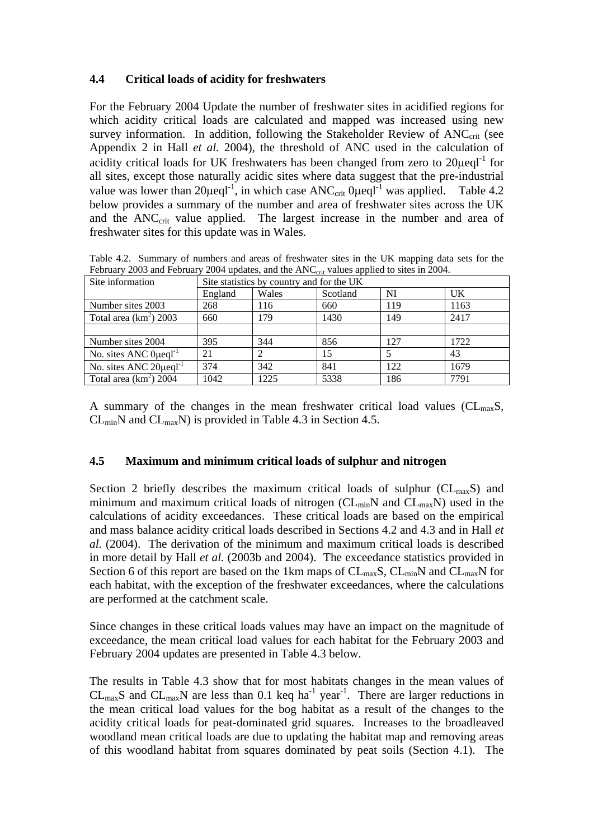## **4.4 Critical loads of acidity for freshwaters**

For the February 2004 Update the number of freshwater sites in acidified regions for which acidity critical loads are calculated and mapped was increased using new survey information. In addition, following the Stakeholder Review of  $ANC<sub>crit</sub>$  (see Appendix 2 in Hall *et al.* 2004), the threshold of ANC used in the calculation of acidity critical loads for UK freshwaters has been changed from zero to  $20\mu$ eql<sup>-1</sup> for all sites, except those naturally acidic sites where data suggest that the pre-industrial value was lower than  $20\mu$ eql<sup>-1</sup>, in which case ANC<sub>crit</sub>  $0\mu$ eql<sup>-1</sup> was applied. Table 4.2 below provides a summary of the number and area of freshwater sites across the UK and the ANC<sub>crit</sub> value applied. The largest increase in the number and area of freshwater sites for this update was in Wales.

| Site information                        |         | Site statistics by country and for the UK |          |     |      |  |  |
|-----------------------------------------|---------|-------------------------------------------|----------|-----|------|--|--|
|                                         | England | Wales                                     | Scotland | NI  | UK   |  |  |
| Number sites 2003                       | 268     | 116                                       | 660      | 119 | 1163 |  |  |
| Total area $(km^2)$ 2003                | 660     | 179                                       | 1430     | 149 | 2417 |  |  |
|                                         |         |                                           |          |     |      |  |  |
| Number sites 2004                       | 395     | 344                                       | 856      | 127 | 1722 |  |  |
| No. sites ANC $0\mu$ egl <sup>-1</sup>  | 21      |                                           | 15       |     | 43   |  |  |
| No. sites ANC $20\mu$ eql <sup>-1</sup> | 374     | 342                                       | 841      | 122 | 1679 |  |  |
| Total area $(km^2)$ 2004                | 1042    | 1225                                      | 5338     | 186 | 7791 |  |  |

Table 4.2. Summary of numbers and areas of freshwater sites in the UK mapping data sets for the February 2003 and February 2004 updates, and the ANC<sub>crit</sub> values applied to sites in 2004.

A summary of the changes in the mean freshwater critical load values ( $CL_{max}S$ ,  $CL_{min}N$  and  $CL_{max}N$ ) is provided in Table 4.3 in Section 4.5.

## **4.5 Maximum and minimum critical loads of sulphur and nitrogen**

Section 2 briefly describes the maximum critical loads of sulphur  $(CL_{max}S)$  and minimum and maximum critical loads of nitrogen ( $CL_{min}N$  and  $CL_{max}N$ ) used in the calculations of acidity exceedances. These critical loads are based on the empirical and mass balance acidity critical loads described in Sections 4.2 and 4.3 and in Hall *et al.* (2004). The derivation of the minimum and maximum critical loads is described in more detail by Hall *et al.* (2003b and 2004). The exceedance statistics provided in Section 6 of this report are based on the 1km maps of  $CL_{max}S$ ,  $CL_{min}N$  and  $CL_{max}N$  for each habitat, with the exception of the freshwater exceedances, where the calculations are performed at the catchment scale.

Since changes in these critical loads values may have an impact on the magnitude of exceedance, the mean critical load values for each habitat for the February 2003 and February 2004 updates are presented in Table 4.3 below.

The results in Table 4.3 show that for most habitats changes in the mean values of CL<sub>max</sub>S and CL<sub>max</sub>N are less than 0.1 keq ha<sup>-1</sup> year<sup>-1</sup>. There are larger reductions in the mean critical load values for the bog habitat as a result of the changes to the acidity critical loads for peat-dominated grid squares. Increases to the broadleaved woodland mean critical loads are due to updating the habitat map and removing areas of this woodland habitat from squares dominated by peat soils (Section 4.1). The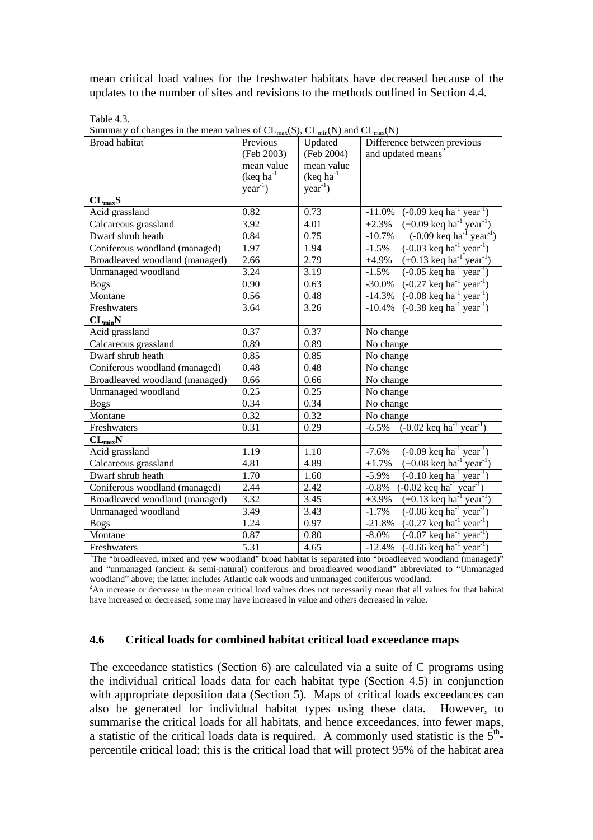mean critical load values for the freshwater habitats have decreased because of the updates to the number of sites and revisions to the methods outlined in Section 4.4.

Table 4.3.

Summary of changes in the mean values of CL  $(S)$ , CL  $(N)$  and CLM

| Buttiniary of changes in the filem values of $CL_{max}(3)$ , $CL_{min}(1)$ and $CL_{max}(1)$<br>Broad habitat           | Previous           | Updated            | Difference between previous                                                    |  |  |  |  |
|-------------------------------------------------------------------------------------------------------------------------|--------------------|--------------------|--------------------------------------------------------------------------------|--|--|--|--|
|                                                                                                                         | (Feb 2003)         | (Feb 2004)         | and updated means <sup>2</sup>                                                 |  |  |  |  |
|                                                                                                                         | mean value         | mean value         |                                                                                |  |  |  |  |
|                                                                                                                         | $($ keq ha $^{-1}$ | $($ keq ha $^{-1}$ |                                                                                |  |  |  |  |
|                                                                                                                         | $year^{-1}$ )      | $year^{-1}$ )      |                                                                                |  |  |  |  |
| $CL_{max}S$                                                                                                             |                    |                    |                                                                                |  |  |  |  |
| Acid grassland                                                                                                          | 0.82               | 0.73               | $(-0.09 \text{ keq h}^{-1} \text{ year}^{-1})$<br>$-11.0\%$                    |  |  |  |  |
| Calcareous grassland                                                                                                    | 3.92               | 4.01               | $(+0.09 \text{ keq h}^{-1} \text{ year}^{-1})$<br>$+2.3%$                      |  |  |  |  |
| Dwarf shrub heath                                                                                                       | 0.84               | 0.75               | $\sqrt{-0.09 \text{ keq} \cdot \text{ha}^{-1} \text{ year}^{-1}}$<br>$-10.7%$  |  |  |  |  |
| Coniferous woodland (managed)                                                                                           | 1.97               | 1.94               | $(-0.03 \text{ keq h}^{-1} \text{ year}^{-1})$<br>$-1.5%$                      |  |  |  |  |
| Broadleaved woodland (managed)                                                                                          | 2.66               | 2.79               | $(+0.13 \text{ keq ha}^{-1} \text{ year}^{-1})$<br>$+4.9\%$                    |  |  |  |  |
| Unmanaged woodland                                                                                                      | 3.24               | 3.19               | $(-0.05 \text{ keq h}^{-1} \text{ year}^{-1})$<br>$-1.5%$                      |  |  |  |  |
| <b>Bogs</b>                                                                                                             | 0.90               | 0.63               | $(-0.27 \text{ keq ha}^{-1} \text{ year}^{-1})$<br>$-30.0\%$                   |  |  |  |  |
| Montane                                                                                                                 | 0.56               | 0.48               | $(-0.08 \text{ keq h}^{-1} \text{ year}^{-1})$<br>$-14.3\%$                    |  |  |  |  |
| Freshwaters                                                                                                             | 3.64               | 3.26               | $(-0.38 \text{ keq h}^{-1} \text{ year}^{-1})$<br>$-10.4%$                     |  |  |  |  |
| $CL_{min}N$                                                                                                             |                    |                    |                                                                                |  |  |  |  |
| Acid grassland                                                                                                          | 0.37               | 0.37               | No change                                                                      |  |  |  |  |
| Calcareous grassland                                                                                                    | 0.89               | 0.89               | No change                                                                      |  |  |  |  |
| Dwarf shrub heath                                                                                                       | 0.85               | 0.85               | No change                                                                      |  |  |  |  |
| Coniferous woodland (managed)                                                                                           | 0.48               | 0.48               | No change                                                                      |  |  |  |  |
| Broadleaved woodland (managed)                                                                                          | 0.66               | 0.66               | No change                                                                      |  |  |  |  |
| Unmanaged woodland                                                                                                      | 0.25               | 0.25               | No change                                                                      |  |  |  |  |
| <b>Bogs</b>                                                                                                             | 0.34               | 0.34               | No change                                                                      |  |  |  |  |
| Montane                                                                                                                 | 0.32               | 0.32               | No change                                                                      |  |  |  |  |
| Freshwaters                                                                                                             | 0.31               | 0.29               | $(-0.02 \text{ keq h}^{-1} \text{ year}^{-1})$<br>$-6.5\%$                     |  |  |  |  |
| $CL_{max}N$                                                                                                             |                    |                    |                                                                                |  |  |  |  |
| Acid grassland                                                                                                          | 1.19               | 1.10               | $(-0.09 \text{ keq ha}^{-1} \text{ year}^{-1})$<br>$-7.6%$                     |  |  |  |  |
| Calcareous grassland                                                                                                    | 4.81               | 4.89               | $(+0.08 \text{ keq h}^{-1} \text{ year}^{-1})$<br>$+1.7%$                      |  |  |  |  |
| Dwarf shrub heath                                                                                                       | 1.70               | 1.60               | $(-0.10 \text{ keq h}^{-1} \text{ year}^{-1})$<br>$-5.9\%$                     |  |  |  |  |
| Coniferous woodland (managed)                                                                                           | 2.44               | 2.42               | $(-0.02 \text{ keq h}^{-1} \text{ year}^{-1})$<br>$-0.8\%$                     |  |  |  |  |
| Broadleaved woodland (managed)                                                                                          | 3.32               | 3.45               | $(+0.13 \text{ keq h}^{-1} \text{ year}^{-1})$<br>$+3.9%$                      |  |  |  |  |
| Unmanaged woodland                                                                                                      | 3.49               | 3.43               | $\frac{1}{(0.06 \text{ keq h}^{-1} \text{ year}^{-1})}$<br>$-1.7%$             |  |  |  |  |
| <b>Bogs</b>                                                                                                             | 1.24               | 0.97               | $(-0.27 \text{ keq h}^{-1} \text{ year}^{-1})$<br>$-21.8%$                     |  |  |  |  |
| Montane                                                                                                                 | 0.87               | 0.80               | $\overline{(-0.07 \text{ keq} \text{ ha}^{-1} \text{ year}^{-1})}$<br>$-8.0\%$ |  |  |  |  |
| Freshwaters                                                                                                             | $\overline{5.31}$  | 4.65               | $(-0.66 \text{ keq h}^{-1} \text{ year}^{-1})$<br>$-12.4%$                     |  |  |  |  |
| <sup>1</sup> The "broadleaved, mixed and yew woodland" broad habitat is separated into "broadleaved woodland (managed)" |                    |                    |                                                                                |  |  |  |  |

and "unmanaged (ancient & semi-natural) coniferous and broadleaved woodland" abbreviated to "Unmanaged

woodland" above; the latter includes Atlantic oak woods and unmanaged coniferous woodland.<br><sup>2</sup>An increase or decrease in the mean critical load values does not necessarily mean that all values for that habitat have increased or decreased, some may have increased in value and others decreased in value.

## **4.6 Critical loads for combined habitat critical load exceedance maps**

The exceedance statistics (Section 6) are calculated via a suite of C programs using the individual critical loads data for each habitat type (Section 4.5) in conjunction with appropriate deposition data (Section 5). Maps of critical loads exceedances can also be generated for individual habitat types using these data. However, to summarise the critical loads for all habitats, and hence exceedances, into fewer maps, a statistic of the critical loads data is required. A commonly used statistic is the  $5<sup>th</sup>$ percentile critical load; this is the critical load that will protect 95% of the habitat area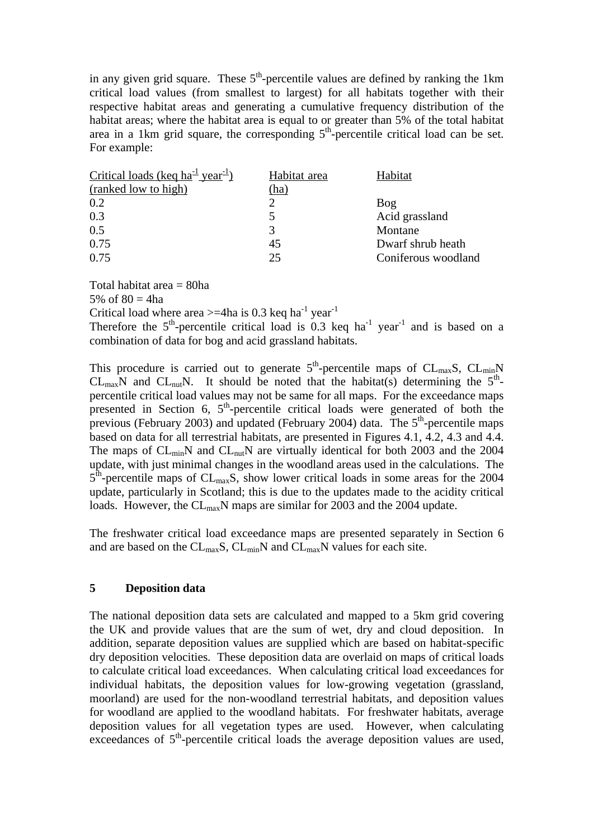in any given grid square. These  $5<sup>th</sup>$ -percentile values are defined by ranking the 1km critical load values (from smallest to largest) for all habitats together with their respective habitat areas and generating a cumulative frequency distribution of the habitat areas; where the habitat area is equal to or greater than 5% of the total habitat area in a 1km grid square, the corresponding  $5<sup>th</sup>$ -percentile critical load can be set. For example:

| Habitat area | Habitat             |
|--------------|---------------------|
| (ha)         |                     |
|              | Bog                 |
|              | Acid grassland      |
| 3            | Montane             |
| 45           | Dwarf shrub heath   |
| 25           | Coniferous woodland |
|              |                     |

Total habitat area = 80ha

5% of  $80 = 4$ ha

Critical load where area  $>=$  4ha is 0.3 keq ha<sup>-1</sup> year<sup>-1</sup>

Therefore the  $5<sup>th</sup>$ -percentile critical load is 0.3 keq ha<sup>-1</sup> year<sup>-1</sup> and is based on a combination of data for bog and acid grassland habitats.

This procedure is carried out to generate  $5<sup>th</sup>$ -percentile maps of CL<sub>max</sub>S, CL<sub>min</sub>N  $CL_{max}N$  and  $CL_{nut}N$ . It should be noted that the habitat(s) determining the  $5<sup>th</sup>$ percentile critical load values may not be same for all maps. For the exceedance maps presented in Section 6,  $5<sup>th</sup>$ -percentile critical loads were generated of both the previous (February 2003) and updated (February 2004) data. The  $5<sup>th</sup>$ -percentile maps based on data for all terrestrial habitats, are presented in Figures 4.1, 4.2, 4.3 and 4.4. The maps of  $CL_{min}N$  and  $CL_{nut}N$  are virtually identical for both 2003 and the 2004 update, with just minimal changes in the woodland areas used in the calculations. The  $5<sup>th</sup>$ -percentile maps of CL<sub>max</sub>S, show lower critical loads in some areas for the 2004 update, particularly in Scotland; this is due to the updates made to the acidity critical loads. However, the CL<sub>max</sub>N maps are similar for 2003 and the 2004 update.

The freshwater critical load exceedance maps are presented separately in Section 6 and are based on the CL<sub>max</sub>S, CL<sub>min</sub>N and CL<sub>max</sub>N values for each site.

## **5 Deposition data**

The national deposition data sets are calculated and mapped to a 5km grid covering the UK and provide values that are the sum of wet, dry and cloud deposition. In addition, separate deposition values are supplied which are based on habitat-specific dry deposition velocities. These deposition data are overlaid on maps of critical loads to calculate critical load exceedances. When calculating critical load exceedances for individual habitats, the deposition values for low-growing vegetation (grassland, moorland) are used for the non-woodland terrestrial habitats, and deposition values for woodland are applied to the woodland habitats. For freshwater habitats, average deposition values for all vegetation types are used. However, when calculating exceedances of  $5<sup>th</sup>$ -percentile critical loads the average deposition values are used,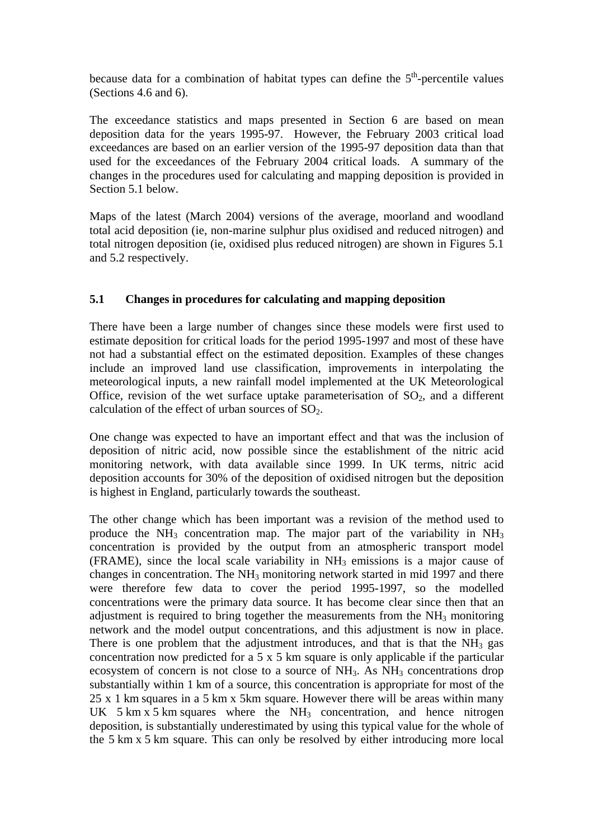because data for a combination of habitat types can define the  $5<sup>th</sup>$ -percentile values (Sections 4.6 and 6).

The exceedance statistics and maps presented in Section 6 are based on mean deposition data for the years 1995-97. However, the February 2003 critical load exceedances are based on an earlier version of the 1995-97 deposition data than that used for the exceedances of the February 2004 critical loads. A summary of the changes in the procedures used for calculating and mapping deposition is provided in Section 5.1 below.

Maps of the latest (March 2004) versions of the average, moorland and woodland total acid deposition (ie, non-marine sulphur plus oxidised and reduced nitrogen) and total nitrogen deposition (ie, oxidised plus reduced nitrogen) are shown in Figures 5.1 and 5.2 respectively.

# **5.1 Changes in procedures for calculating and mapping deposition**

There have been a large number of changes since these models were first used to estimate deposition for critical loads for the period 1995-1997 and most of these have not had a substantial effect on the estimated deposition. Examples of these changes include an improved land use classification, improvements in interpolating the meteorological inputs, a new rainfall model implemented at the UK Meteorological Office, revision of the wet surface uptake parameterisation of  $SO<sub>2</sub>$ , and a different calculation of the effect of urban sources of  $SO<sub>2</sub>$ .

One change was expected to have an important effect and that was the inclusion of deposition of nitric acid, now possible since the establishment of the nitric acid monitoring network, with data available since 1999. In UK terms, nitric acid deposition accounts for 30% of the deposition of oxidised nitrogen but the deposition is highest in England, particularly towards the southeast.

The other change which has been important was a revision of the method used to produce the  $NH_3$  concentration map. The major part of the variability in  $NH_3$ concentration is provided by the output from an atmospheric transport model  $(FRAME)$ , since the local scale variability in  $NH<sub>3</sub>$  emissions is a major cause of changes in concentration. The  $NH_3$  monitoring network started in mid 1997 and there were therefore few data to cover the period 1995-1997, so the modelled concentrations were the primary data source. It has become clear since then that an adjustment is required to bring together the measurements from the  $NH<sub>3</sub>$  monitoring network and the model output concentrations, and this adjustment is now in place. There is one problem that the adjustment introduces, and that is that the  $NH<sub>3</sub>$  gas concentration now predicted for a 5 x 5 km square is only applicable if the particular ecosystem of concern is not close to a source of NH<sub>3</sub>. As NH<sub>3</sub> concentrations drop substantially within 1 km of a source, this concentration is appropriate for most of the 25 x 1 km squares in a 5 km x 5km square. However there will be areas within many UK 5 km x 5 km squares where the  $NH_3$  concentration, and hence nitrogen deposition, is substantially underestimated by using this typical value for the whole of the 5 km x 5 km square. This can only be resolved by either introducing more local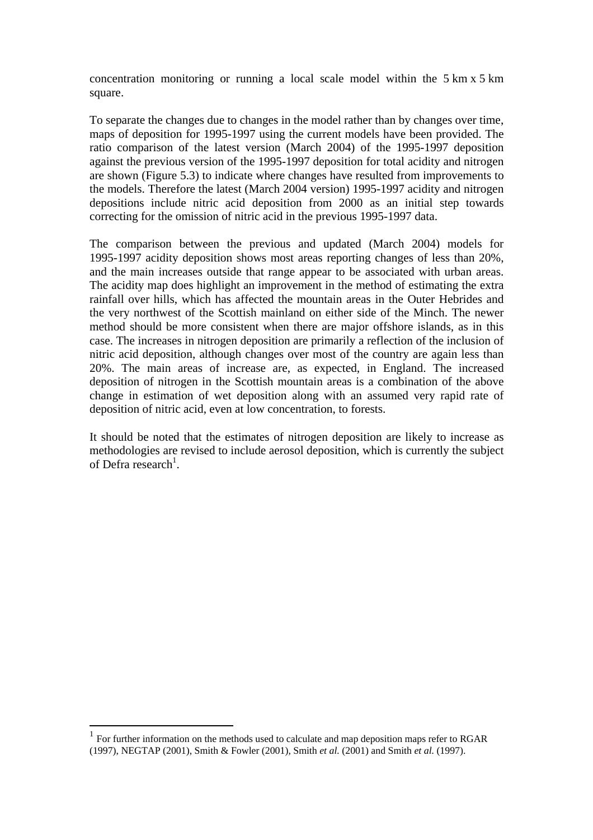concentration monitoring or running a local scale model within the 5 km x 5 km square.

To separate the changes due to changes in the model rather than by changes over time, maps of deposition for 1995-1997 using the current models have been provided. The ratio comparison of the latest version (March 2004) of the 1995-1997 deposition against the previous version of the 1995-1997 deposition for total acidity and nitrogen are shown (Figure 5.3) to indicate where changes have resulted from improvements to the models. Therefore the latest (March 2004 version) 1995-1997 acidity and nitrogen depositions include nitric acid deposition from 2000 as an initial step towards correcting for the omission of nitric acid in the previous 1995-1997 data.

The comparison between the previous and updated (March 2004) models for 1995-1997 acidity deposition shows most areas reporting changes of less than 20%, and the main increases outside that range appear to be associated with urban areas. The acidity map does highlight an improvement in the method of estimating the extra rainfall over hills, which has affected the mountain areas in the Outer Hebrides and the very northwest of the Scottish mainland on either side of the Minch. The newer method should be more consistent when there are major offshore islands, as in this case. The increases in nitrogen deposition are primarily a reflection of the inclusion of nitric acid deposition, although changes over most of the country are again less than 20%. The main areas of increase are, as expected, in England. The increased deposition of nitrogen in the Scottish mountain areas is a combination of the above change in estimation of wet deposition along with an assumed very rapid rate of deposition of nitric acid, even at low concentration, to forests.

It should be noted that the estimates of nitrogen deposition are likely to increase as methodologies are revised to include aerosol deposition, which is currently the subject of Defra research<sup>1</sup>.

 $\overline{a}$ 

<sup>1</sup> For further information on the methods used to calculate and map deposition maps refer to RGAR (1997), NEGTAP (2001), Smith & Fowler (2001), Smith *et al.* (2001) and Smith *et al.* (1997).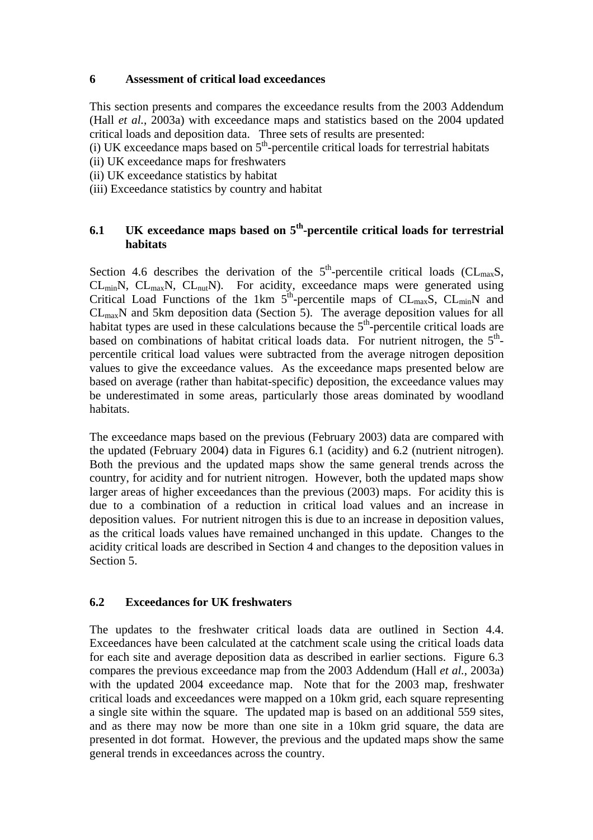## **6 Assessment of critical load exceedances**

This section presents and compares the exceedance results from the 2003 Addendum (Hall *et al.*, 2003a) with exceedance maps and statistics based on the 2004 updated critical loads and deposition data. Three sets of results are presented:

(i) UK exceedance maps based on  $5<sup>th</sup>$ -percentile critical loads for terrestrial habitats

- (ii) UK exceedance maps for freshwaters
- (ii) UK exceedance statistics by habitat
- (iii) Exceedance statistics by country and habitat

# **6.1 UK exceedance maps based on 5th-percentile critical loads for terrestrial habitats**

Section 4.6 describes the derivation of the  $5<sup>th</sup>$ -percentile critical loads (CL<sub>max</sub>S,  $CL_{min}N$ ,  $CL_{max}N$ ,  $CL_{nut}N$ ). For acidity, exceedance maps were generated using Critical Load Functions of the 1km  $5^{\text{th}}$ -percentile maps of CL<sub>max</sub>S, CL<sub>min</sub>N and  $CL<sub>max</sub>N$  and 5km deposition data (Section 5). The average deposition values for all habitat types are used in these calculations because the  $5<sup>th</sup>$ -percentile critical loads are based on combinations of habitat critical loads data. For nutrient nitrogen, the  $5<sup>th</sup>$ percentile critical load values were subtracted from the average nitrogen deposition values to give the exceedance values. As the exceedance maps presented below are based on average (rather than habitat-specific) deposition, the exceedance values may be underestimated in some areas, particularly those areas dominated by woodland habitats.

The exceedance maps based on the previous (February 2003) data are compared with the updated (February 2004) data in Figures 6.1 (acidity) and 6.2 (nutrient nitrogen). Both the previous and the updated maps show the same general trends across the country, for acidity and for nutrient nitrogen. However, both the updated maps show larger areas of higher exceedances than the previous (2003) maps. For acidity this is due to a combination of a reduction in critical load values and an increase in deposition values. For nutrient nitrogen this is due to an increase in deposition values, as the critical loads values have remained unchanged in this update. Changes to the acidity critical loads are described in Section 4 and changes to the deposition values in Section 5.

# **6.2 Exceedances for UK freshwaters**

The updates to the freshwater critical loads data are outlined in Section 4.4. Exceedances have been calculated at the catchment scale using the critical loads data for each site and average deposition data as described in earlier sections. Figure 6.3 compares the previous exceedance map from the 2003 Addendum (Hall *et al.*, 2003a) with the updated 2004 exceedance map. Note that for the 2003 map, freshwater critical loads and exceedances were mapped on a 10km grid, each square representing a single site within the square. The updated map is based on an additional 559 sites, and as there may now be more than one site in a 10km grid square, the data are presented in dot format. However, the previous and the updated maps show the same general trends in exceedances across the country.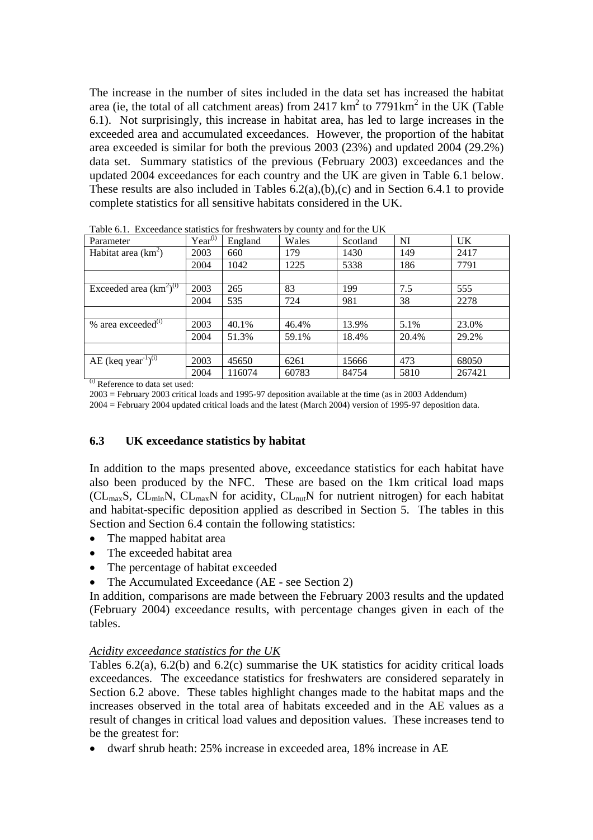The increase in the number of sites included in the data set has increased the habitat area (ie, the total of all catchment areas) from 2417  $km^2$  to 7791 $km^2$  in the UK (Table 6.1). Not surprisingly, this increase in habitat area, has led to large increases in the exceeded area and accumulated exceedances. However, the proportion of the habitat area exceeded is similar for both the previous 2003 (23%) and updated 2004 (29.2%) data set. Summary statistics of the previous (February 2003) exceedances and the updated 2004 exceedances for each country and the UK are given in Table 6.1 below. These results are also included in Tables 6.2(a),(b),(c) and in Section 6.4.1 to provide complete statistics for all sensitive habitats considered in the UK.

| Parameter                                      | $Year^{(i)}$ | England | Wales | Scotland | NI    | UK.    |
|------------------------------------------------|--------------|---------|-------|----------|-------|--------|
| Habitat area $(km^2)$                          | 2003         | 660     | 179   | 1430     | 149   | 2417   |
|                                                | 2004         | 1042    | 1225  | 5338     | 186   | 7791   |
|                                                |              |         |       |          |       |        |
| Exceeded area $(\overline{\text{km}^2})^{(i)}$ | 2003         | 265     | 83    | 199      | 7.5   | 555    |
|                                                | 2004         | 535     | 724   | 981      | 38    | 2278   |
|                                                |              |         |       |          |       |        |
| % area exceeded <sup>(i)</sup>                 | 2003         | 40.1%   | 46.4% | 13.9%    | 5.1%  | 23.0%  |
|                                                | 2004         | 51.3%   | 59.1% | 18.4%    | 20.4% | 29.2%  |
|                                                |              |         |       |          |       |        |
| AE (keq year <sup>-1</sup> ) <sup>(i)</sup>    | 2003         | 45650   | 6261  | 15666    | 473   | 68050  |
|                                                | 2004         | 116074  | 60783 | 84754    | 5810  | 267421 |

Table 6.1. Exceedance statistics for freshwaters by county and for the UK

(i) Reference to data set used:

2003 = February 2003 critical loads and 1995-97 deposition available at the time (as in 2003 Addendum)

2004 = February 2004 updated critical loads and the latest (March 2004) version of 1995-97 deposition data.

## **6.3 UK exceedance statistics by habitat**

In addition to the maps presented above, exceedance statistics for each habitat have also been produced by the NFC. These are based on the 1km critical load maps ( $CL_{max}S$ ,  $CL_{min}N$ ,  $CL_{max}N$  for acidity,  $CL_{nut}N$  for nutrient nitrogen) for each habitat and habitat-specific deposition applied as described in Section 5. The tables in this Section and Section 6.4 contain the following statistics:

- The mapped habitat area
- The exceeded habitat area
- The percentage of habitat exceeded
- The Accumulated Exceedance (AE see Section 2)

In addition, comparisons are made between the February 2003 results and the updated (February 2004) exceedance results, with percentage changes given in each of the tables.

#### *Acidity exceedance statistics for the UK*

Tables 6.2(a), 6.2(b) and 6.2(c) summarise the UK statistics for acidity critical loads exceedances. The exceedance statistics for freshwaters are considered separately in Section 6.2 above. These tables highlight changes made to the habitat maps and the increases observed in the total area of habitats exceeded and in the AE values as a result of changes in critical load values and deposition values. These increases tend to be the greatest for:

• dwarf shrub heath: 25% increase in exceeded area, 18% increase in AE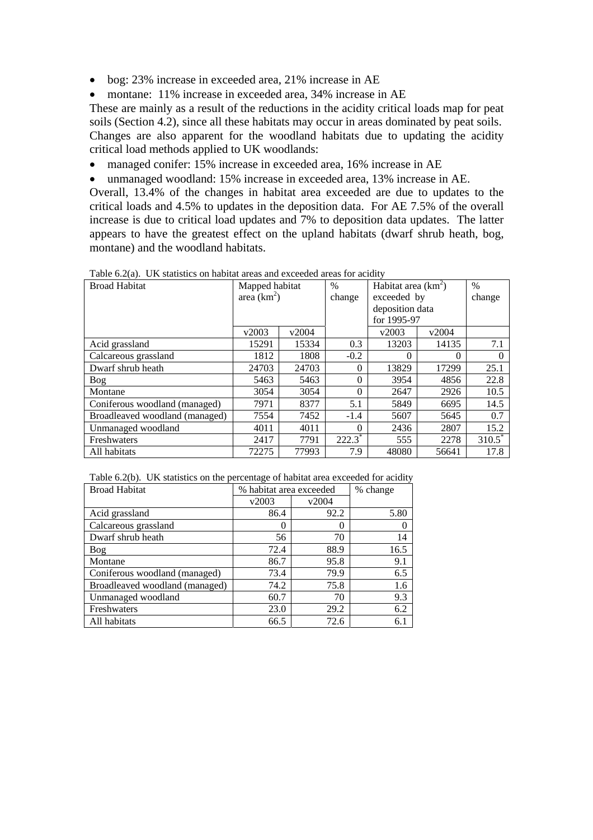• bog: 23% increase in exceeded area, 21% increase in AE

• montane: 11% increase in exceeded area, 34% increase in AE

These are mainly as a result of the reductions in the acidity critical loads map for peat soils (Section 4.2), since all these habitats may occur in areas dominated by peat soils. Changes are also apparent for the woodland habitats due to updating the acidity critical load methods applied to UK woodlands:

- managed conifer: 15% increase in exceeded area, 16% increase in AE
- unmanaged woodland: 15% increase in exceeded area, 13% increase in AE.

Overall, 13.4% of the changes in habitat area exceeded are due to updates to the critical loads and 4.5% to updates in the deposition data. For AE 7.5% of the overall increase is due to critical load updates and 7% to deposition data updates. The latter appears to have the greatest effect on the upland habitats (dwarf shrub heath, bog, montane) and the woodland habitats.

| <b>Broad Habitat</b>           | Mapped habitat |       | $\frac{0}{0}$        | Habitat area $(km^2)$ |          | $\frac{0}{0}$        |
|--------------------------------|----------------|-------|----------------------|-----------------------|----------|----------------------|
|                                | area $(km^2)$  |       | change               | exceeded by           |          | change               |
|                                |                |       |                      | deposition data       |          |                      |
|                                |                |       |                      | for 1995-97           |          |                      |
|                                | v2003          | v2004 |                      | v2003                 | v2004    |                      |
| Acid grassland                 | 15291          | 15334 | 0.3                  | 13203                 | 14135    | 7.1                  |
| Calcareous grassland           | 1812           | 1808  | $-0.2$               | $\theta$              | $\Omega$ | $\theta$             |
| Dwarf shrub heath              | 24703          | 24703 | $\Omega$             | 13829                 | 17299    | 25.1                 |
| Bog                            | 5463           | 5463  | $\Omega$             | 3954                  | 4856     | 22.8                 |
| Montane                        | 3054           | 3054  | $\Omega$             | 2647                  | 2926     | 10.5                 |
| Coniferous woodland (managed)  | 7971           | 8377  | 5.1                  | 5849                  | 6695     | 14.5                 |
| Broadleaved woodland (managed) | 7554           | 7452  | $-1.4$               | 5607                  | 5645     | 0.7                  |
| Unmanaged woodland             | 4011           | 4011  | $\Omega$             | 2436                  | 2807     | 15.2                 |
| Freshwaters                    | 2417           | 7791  | $222.\overline{3}^*$ | 555                   | 2278     | $310.\overline{5}^*$ |
| All habitats                   | 72275          | 77993 | 7.9                  | 48080                 | 56641    | 17.8                 |

| Table 6.2(a). UK statistics on habitat areas and exceeded areas for acidity |  |  |  |  |
|-----------------------------------------------------------------------------|--|--|--|--|
|-----------------------------------------------------------------------------|--|--|--|--|

Table 6.2(b). UK statistics on the percentage of habitat area exceeded for acidity

| <b>Broad Habitat</b>           | % habitat area exceeded | % change |      |
|--------------------------------|-------------------------|----------|------|
|                                | v2003                   | v2004    |      |
| Acid grassland                 | 86.4                    | 92.2     | 5.80 |
| Calcareous grassland           | $\left( \right)$        | 0        |      |
| Dwarf shrub heath              | 56                      | 70       | 14   |
| Bog                            | 72.4                    | 88.9     | 16.5 |
| Montane                        | 86.7                    | 95.8     | 9.1  |
| Coniferous woodland (managed)  | 73.4                    | 79.9     | 6.5  |
| Broadleaved woodland (managed) | 74.2                    | 75.8     | 1.6  |
| Unmanaged woodland             | 60.7                    | 70       | 9.3  |
| Freshwaters                    | 23.0                    | 29.2     | 6.2  |
| All habitats                   | 66.5                    | 72.6     | 6.1  |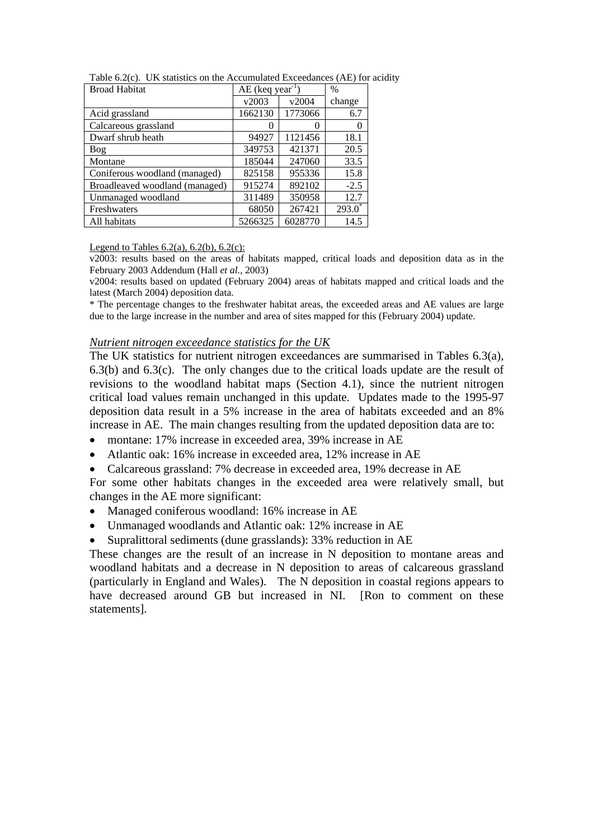| <b>Broad Habitat</b>           | $AE$ (keq year <sup>-1</sup> |         | %                    |
|--------------------------------|------------------------------|---------|----------------------|
|                                | v2003                        | v2004   | change               |
| Acid grassland                 | 1662130                      | 1773066 | 6.7                  |
| Calcareous grassland           | 0                            | 0       | 0                    |
| Dwarf shrub heath              | 94927                        | 1121456 | 18.1                 |
| Bog                            | 349753                       | 421371  | 20.5                 |
| Montane                        | 185044                       | 247060  | 33.5                 |
| Coniferous woodland (managed)  | 825158                       | 955336  | 15.8                 |
| Broadleaved woodland (managed) | 915274                       | 892102  | $-2.5$               |
| Unmanaged woodland             | 311489                       | 350958  | 12.7                 |
| Freshwaters                    | 68050                        | 267421  | $293.\overline{0}^*$ |
| All habitats                   | 5266325                      | 6028770 | 14.5                 |

Table 6.2(c). UK statistics on the Accumulated Exceedances (AE) for acidity

Legend to Tables  $6.2(a)$ ,  $6.2(b)$ ,  $6.2(c)$ :

v2003: results based on the areas of habitats mapped, critical loads and deposition data as in the February 2003 Addendum (Hall *et al.*, 2003)

v2004: results based on updated (February 2004) areas of habitats mapped and critical loads and the latest (March 2004) deposition data.

\* The percentage changes to the freshwater habitat areas, the exceeded areas and AE values are large due to the large increase in the number and area of sites mapped for this (February 2004) update.

#### *Nutrient nitrogen exceedance statistics for the UK*

The UK statistics for nutrient nitrogen exceedances are summarised in Tables 6.3(a), 6.3(b) and 6.3(c). The only changes due to the critical loads update are the result of revisions to the woodland habitat maps (Section 4.1), since the nutrient nitrogen critical load values remain unchanged in this update. Updates made to the 1995-97 deposition data result in a 5% increase in the area of habitats exceeded and an 8% increase in AE. The main changes resulting from the updated deposition data are to:

- montane: 17% increase in exceeded area, 39% increase in AE
- Atlantic oak: 16% increase in exceeded area, 12% increase in AE
- Calcareous grassland: 7% decrease in exceeded area, 19% decrease in AE

For some other habitats changes in the exceeded area were relatively small, but changes in the AE more significant:

- Managed coniferous woodland: 16% increase in AE
- Unmanaged woodlands and Atlantic oak: 12% increase in AE
- Supralittoral sediments (dune grasslands): 33% reduction in AE

These changes are the result of an increase in N deposition to montane areas and woodland habitats and a decrease in N deposition to areas of calcareous grassland (particularly in England and Wales). The N deposition in coastal regions appears to have decreased around GB but increased in NI. [Ron to comment on these statements].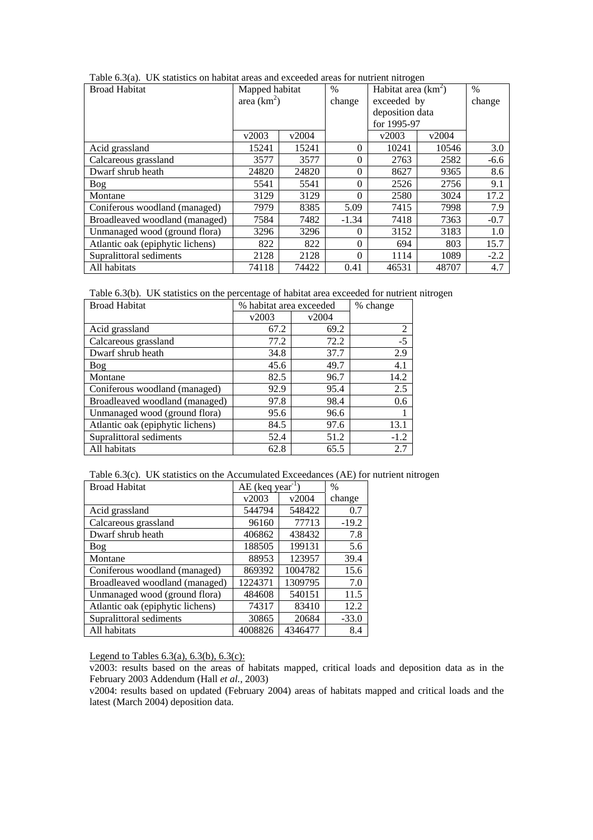| <b>Broad Habitat</b>             | Mapped habitat |       | $\%$     | Habitat area $(km^2)$ |       | $\%$   |
|----------------------------------|----------------|-------|----------|-----------------------|-------|--------|
|                                  | area $(km^2)$  |       | change   | exceeded by           |       | change |
|                                  |                |       |          | deposition data       |       |        |
|                                  |                |       |          | for 1995-97           |       |        |
|                                  | v2003          | v2004 |          | v2003                 | v2004 |        |
| Acid grassland                   | 15241          | 15241 | $\Omega$ | 10241                 | 10546 | 3.0    |
| Calcareous grassland             | 3577           | 3577  | $\Omega$ | 2763                  | 2582  | $-6.6$ |
| Dwarf shrub heath                | 24820          | 24820 | $\Omega$ | 8627                  | 9365  | 8.6    |
| Bog                              | 5541           | 5541  | $\Omega$ | 2526                  | 2756  | 9.1    |
| Montane                          | 3129           | 3129  | $\Omega$ | 2580                  | 3024  | 17.2   |
| Coniferous woodland (managed)    | 7979           | 8385  | 5.09     | 7415                  | 7998  | 7.9    |
| Broadleaved woodland (managed)   | 7584           | 7482  | $-1.34$  | 7418                  | 7363  | $-0.7$ |
| Unmanaged wood (ground flora)    | 3296           | 3296  | $\Omega$ | 3152                  | 3183  | 1.0    |
| Atlantic oak (epiphytic lichens) | 822            | 822   | $\Omega$ | 694                   | 803   | 15.7   |
| Supralittoral sediments          | 2128           | 2128  | $\Omega$ | 1114                  | 1089  | $-2.2$ |
| All habitats                     | 74118          | 74422 | 0.41     | 46531                 | 48707 | 4.7    |

|  |  | Table $6.3(a)$ . UK statistics on habitat areas and exceeded areas for nutrient nitrogen |  |
|--|--|------------------------------------------------------------------------------------------|--|
|  |  |                                                                                          |  |

Table 6.3(b). UK statistics on the percentage of habitat area exceeded for nutrient nitrogen

| <b>Broad Habitat</b>             | % habitat area exceeded | % change |        |
|----------------------------------|-------------------------|----------|--------|
|                                  | v2003                   | v2004    |        |
| Acid grassland                   | 67.2                    | 69.2     | 2      |
| Calcareous grassland             | 77.2                    | 72.2     | $-5$   |
| Dwarf shrub heath                | 34.8                    | 37.7     | 2.9    |
| Bog                              | 45.6                    | 49.7     | 4.1    |
| Montane                          | 82.5                    | 96.7     | 14.2   |
| Coniferous woodland (managed)    | 92.9                    | 95.4     | 2.5    |
| Broadleaved woodland (managed)   | 97.8                    | 98.4     | 0.6    |
| Unmanaged wood (ground flora)    | 95.6                    | 96.6     |        |
| Atlantic oak (epiphytic lichens) | 84.5                    | 97.6     | 13.1   |
| Supralittoral sediments          | 52.4                    | 51.2     | $-1.2$ |
| All habitats                     | 62.8                    | 65.5     | 2.7    |

Table 6.3(c). UK statistics on the Accumulated Exceedances (AE) for nutrient nitrogen

| <b>Broad Habitat</b>             | $AE$ (keq year <sup>-1</sup> |         | $\%$    |
|----------------------------------|------------------------------|---------|---------|
|                                  | v2003                        | v2004   | change  |
| Acid grassland                   | 544794                       | 548422  | 0.7     |
| Calcareous grassland             | 96160                        | 77713   | $-19.2$ |
| Dwarf shrub heath                | 406862                       | 438432  | 7.8     |
| <b>Bog</b>                       | 188505                       | 199131  | 5.6     |
| Montane                          | 88953                        | 123957  | 39.4    |
| Coniferous woodland (managed)    | 869392                       | 1004782 | 15.6    |
| Broadleaved woodland (managed)   | 1224371                      | 1309795 | 7.0     |
| Unmanaged wood (ground flora)    | 484608                       | 540151  | 11.5    |
| Atlantic oak (epiphytic lichens) | 74317                        | 83410   | 12.2    |
| Supralittoral sediments          | 30865                        | 20684   | $-33.0$ |
| All habitats                     | 4008826                      | 4346477 | 8.4     |

Legend to Tables 6.3(a), 6.3(b), 6.3(c):

v2003: results based on the areas of habitats mapped, critical loads and deposition data as in the February 2003 Addendum (Hall *et al.*, 2003)

v2004: results based on updated (February 2004) areas of habitats mapped and critical loads and the latest (March 2004) deposition data.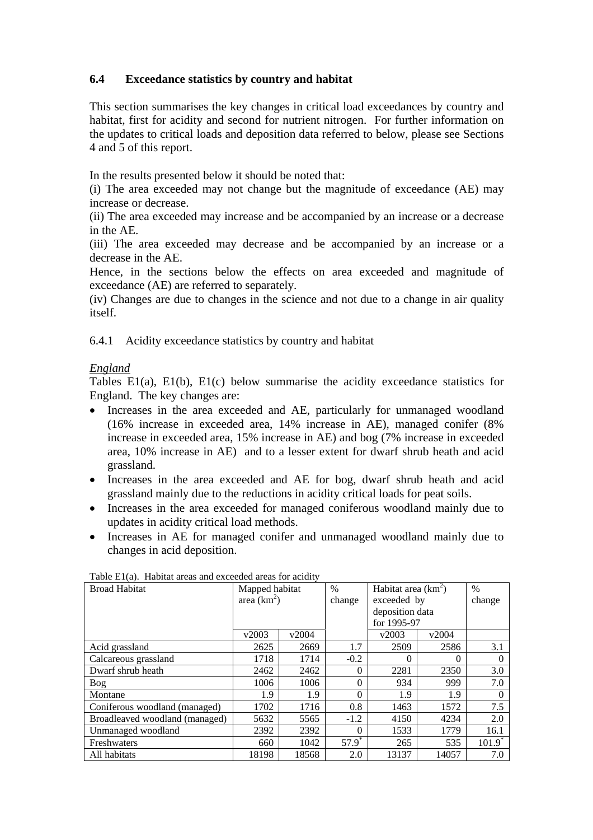# **6.4 Exceedance statistics by country and habitat**

This section summarises the key changes in critical load exceedances by country and habitat, first for acidity and second for nutrient nitrogen. For further information on the updates to critical loads and deposition data referred to below, please see Sections 4 and 5 of this report.

In the results presented below it should be noted that:

(i) The area exceeded may not change but the magnitude of exceedance (AE) may increase or decrease.

(ii) The area exceeded may increase and be accompanied by an increase or a decrease in the AE.

(iii) The area exceeded may decrease and be accompanied by an increase or a decrease in the AE.

Hence, in the sections below the effects on area exceeded and magnitude of exceedance (AE) are referred to separately.

(iv) Changes are due to changes in the science and not due to a change in air quality itself.

6.4.1 Acidity exceedance statistics by country and habitat

## *England*

Tables E1(a), E1(b), E1(c) below summarise the acidity exceedance statistics for England. The key changes are:

- Increases in the area exceeded and AE, particularly for unmanaged woodland (16% increase in exceeded area, 14% increase in AE), managed conifer (8% increase in exceeded area, 15% increase in AE) and bog (7% increase in exceeded area, 10% increase in AE) and to a lesser extent for dwarf shrub heath and acid grassland.
- Increases in the area exceeded and AE for bog, dwarf shrub heath and acid grassland mainly due to the reductions in acidity critical loads for peat soils.
- Increases in the area exceeded for managed coniferous woodland mainly due to updates in acidity critical load methods.
- Increases in AE for managed conifer and unmanaged woodland mainly due to changes in acid deposition.

| <b>Broad Habitat</b>           | Mapped habitat |       | $\frac{0}{0}$       | Habitat area $(km^2)$ |          | $\%$                 |
|--------------------------------|----------------|-------|---------------------|-----------------------|----------|----------------------|
|                                | area $(km^2)$  |       | change              | exceeded by           |          | change               |
|                                |                |       |                     | deposition data       |          |                      |
|                                |                |       |                     | for 1995-97           |          |                      |
|                                | v2003          | v2004 |                     | v2003                 | v2004    |                      |
| Acid grassland                 | 2625           | 2669  | 1.7                 | 2509                  | 2586     | 3.1                  |
| Calcareous grassland           | 1718           | 1714  | $-0.2$              | 0                     | $\Omega$ | 0                    |
| Dwarf shrub heath              | 2462           | 2462  | $\Omega$            | 2281                  | 2350     | 3.0                  |
| Bog                            | 1006           | 1006  | $\Omega$            | 934                   | 999      | 7.0                  |
| Montane                        | 1.9            | 1.9   | $\Omega$            | 1.9                   | 1.9      |                      |
| Coniferous woodland (managed)  | 1702           | 1716  | 0.8                 | 1463                  | 1572     | 7.5                  |
| Broadleaved woodland (managed) | 5632           | 5565  | $-1.2$              | 4150                  | 4234     | 2.0                  |
| Unmanaged woodland             | 2392           | 2392  | $\Omega$            | 1533                  | 1779     | 16.1                 |
| Freshwaters                    | 660            | 1042  | $57.9$ <sup>*</sup> | 265                   | 535      | $101.9$ <sup>*</sup> |
| All habitats                   | 18198          | 18568 | 2.0                 | 13137                 | 14057    | 7.0                  |

Table E1(a). Habitat areas and exceeded areas for acidity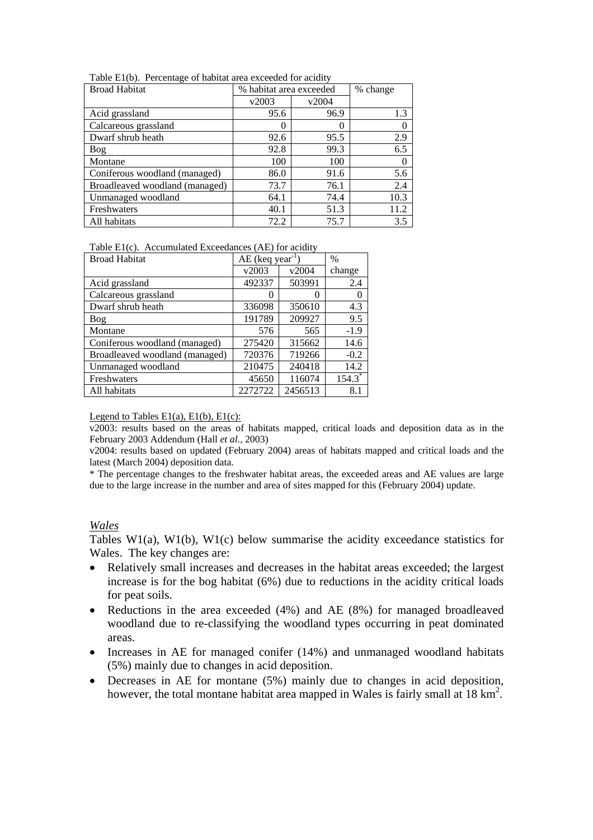| <b>Broad Habitat</b>           | % habitat area exceeded | % change |      |
|--------------------------------|-------------------------|----------|------|
|                                | v2003                   | v2004    |      |
| Acid grassland                 | 95.6                    | 96.9     | 1.3  |
| Calcareous grassland           |                         |          | 0    |
| Dwarf shrub heath              | 92.6                    | 95.5     | 2.9  |
| Bog                            | 92.8                    | 99.3     | 6.5  |
| Montane                        | 100                     | 100      | 0    |
| Coniferous woodland (managed)  | 86.0                    | 91.6     | 5.6  |
| Broadleaved woodland (managed) | 73.7                    | 76.1     | 2.4  |
| Unmanaged woodland             | 64.1                    | 74.4     | 10.3 |
| Freshwaters                    | 40.1                    | 51.3     | 11.2 |
| All habitats                   | 72.2                    | 75.7     | 3.5  |

Table E1(b). Percentage of habitat area exceeded for acidity

|  | Table $E1(c)$ . Accumulated Exceedances (AE) for acidity |  |  |  |
|--|----------------------------------------------------------|--|--|--|
|--|----------------------------------------------------------|--|--|--|

| <b>Broad Habitat</b>           | AE (keq year <sup>1</sup> ) |         | $\%$                 |
|--------------------------------|-----------------------------|---------|----------------------|
|                                | v2003                       | v2004   | change               |
| Acid grassland                 | 492337                      | 503991  | 2.4                  |
| Calcareous grassland           | $\mathbf{\Omega}$           | 0       |                      |
| Dwarf shrub heath              | 336098                      | 350610  | 4.3                  |
| <b>Bog</b>                     | 191789                      | 209927  | 9.5                  |
| Montane                        | 576                         | 565     | $-1.9$               |
| Coniferous woodland (managed)  | 275420                      | 315662  | 14.6                 |
| Broadleaved woodland (managed) | 720376                      | 719266  | $-0.2$               |
| Unmanaged woodland             | 210475                      | 240418  | 14.2                 |
| Freshwaters                    | 45650                       | 116074  | $154.3$ <sup>*</sup> |
| All habitats                   | 2272722                     | 2456513 | 8.1                  |

Legend to Tables  $E1(a)$ ,  $E1(b)$ ,  $E1(c)$ :

v2003: results based on the areas of habitats mapped, critical loads and deposition data as in the February 2003 Addendum (Hall *et al.*, 2003)

v2004: results based on updated (February 2004) areas of habitats mapped and critical loads and the latest (March 2004) deposition data.

\* The percentage changes to the freshwater habitat areas, the exceeded areas and AE values are large due to the large increase in the number and area of sites mapped for this (February 2004) update.

#### *Wales*

Tables W1(a), W1(b), W1(c) below summarise the acidity exceedance statistics for Wales. The key changes are:

- Relatively small increases and decreases in the habitat areas exceeded; the largest increase is for the bog habitat (6%) due to reductions in the acidity critical loads for peat soils.
- Reductions in the area exceeded (4%) and AE (8%) for managed broadleaved woodland due to re-classifying the woodland types occurring in peat dominated areas.
- Increases in AE for managed conifer (14%) and unmanaged woodland habitats (5%) mainly due to changes in acid deposition.
- Decreases in AE for montane (5%) mainly due to changes in acid deposition, however, the total montane habitat area mapped in Wales is fairly small at  $18 \text{ km}^2$ .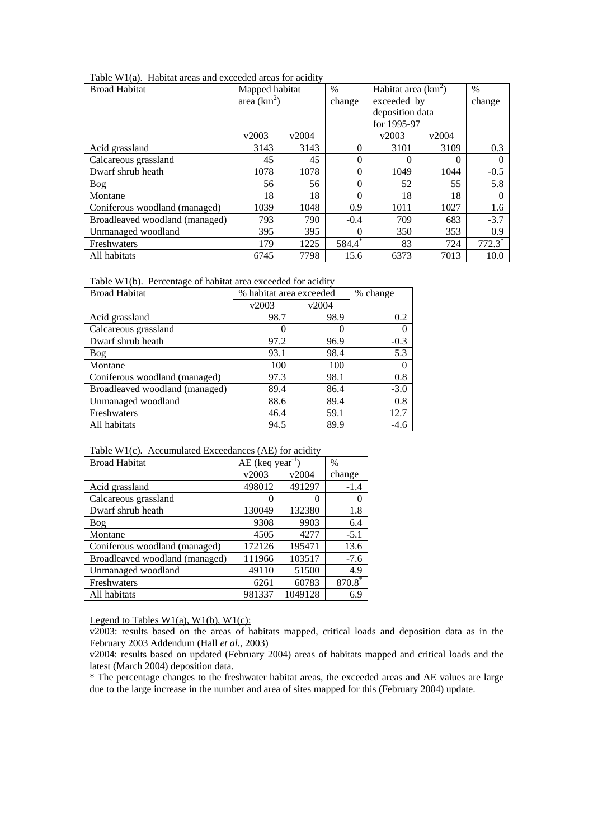|  | Table W1(a). Habitat areas and exceeded areas for acidity |  |  |  |
|--|-----------------------------------------------------------|--|--|--|
|  |                                                           |  |  |  |

| <b>Broad Habitat</b>           | Mapped habitat |               | $\frac{0}{0}$ | Habitat area $(km^2)$ |          | $\frac{0}{0}$        |
|--------------------------------|----------------|---------------|---------------|-----------------------|----------|----------------------|
|                                |                | area $(km^2)$ |               | exceeded by           |          | change               |
|                                |                |               |               | deposition data       |          |                      |
|                                |                |               |               | for 1995-97           |          |                      |
|                                | v2003          | v2004         |               | v2003                 | v2004    |                      |
| Acid grassland                 | 3143           | 3143          | $\Omega$      | 3101                  | 3109     | 0.3                  |
| Calcareous grassland           | 45             | 45            | $\Omega$      | 0                     | $\Omega$ | $\Omega$             |
| Dwarf shrub heath              | 1078           | 1078          | $\Omega$      | 1049                  | 1044     | $-0.5$               |
| Bog                            | 56             | 56            | $\Omega$      | 52                    | 55       | 5.8                  |
| Montane                        | 18             | 18            | $\Omega$      | 18                    | 18       | $\left($             |
| Coniferous woodland (managed)  | 1039           | 1048          | 0.9           | 1011                  | 1027     | 1.6                  |
| Broadleaved woodland (managed) | 793            | 790           | $-0.4$        | 709                   | 683      | $-3.7$               |
| Unmanaged woodland             | 395            | 395           | $\Omega$      | 350                   | 353      | 0.9                  |
| Freshwaters                    | 179            | 1225          | 584.4         | 83                    | 724      | $772.3$ <sup>*</sup> |
| All habitats                   | 6745           | 7798          | 15.6          | 6373                  | 7013     | 10.0                 |

Table W1(b). Percentage of habitat area exceeded for acidity

| <b>Broad Habitat</b>           | % habitat area exceeded | % change |          |
|--------------------------------|-------------------------|----------|----------|
|                                | v2003                   | v2004    |          |
| Acid grassland                 | 98.7                    | 98.9     | 0.2      |
| Calcareous grassland           | 0                       | 0        | 0        |
| Dwarf shrub heath              | 97.2                    | 96.9     | $-0.3$   |
| <b>Bog</b>                     | 93.1                    | 98.4     | 5.3      |
| Montane                        | 100                     | 100      | $\theta$ |
| Coniferous woodland (managed)  | 97.3                    | 98.1     | 0.8      |
| Broadleaved woodland (managed) | 89.4                    | 86.4     | $-3.0$   |
| Unmanaged woodland             | 88.6                    | 89.4     | 0.8      |
| Freshwaters                    | 46.4                    | 59.1     | 12.7     |
| All habitats                   | 94.5                    | 89.9     | $-4.6$   |

|  | Table W1(c). Accumulated Exceedances (AE) for acidity |  |  |
|--|-------------------------------------------------------|--|--|
|--|-------------------------------------------------------|--|--|

| <b>Broad Habitat</b>           | $AE$ (keq year <sup>-1</sup> |         | $\%$   |
|--------------------------------|------------------------------|---------|--------|
|                                | v2003                        | v2004   | change |
| Acid grassland                 | 498012                       | 491297  | $-1.4$ |
| Calcareous grassland           | 0                            | 0       |        |
| Dwarf shrub heath              | 130049                       | 132380  | 1.8    |
| Bog                            | 9308                         | 9903    | 6.4    |
| Montane                        | 4505                         | 4277    | $-5.1$ |
| Coniferous woodland (managed)  | 172126                       | 195471  | 13.6   |
| Broadleaved woodland (managed) | 111966                       | 103517  | $-7.6$ |
| Unmanaged woodland             | 49110                        | 51500   | 4.9    |
| Freshwaters                    | 6261                         | 60783   | 870.8  |
| All habitats                   | 981337                       | 1049128 | 6.9    |

Legend to Tables  $W1(a)$ ,  $W1(b)$ ,  $W1(c)$ :

v2003: results based on the areas of habitats mapped, critical loads and deposition data as in the February 2003 Addendum (Hall *et al.*, 2003)

\* The percentage changes to the freshwater habitat areas, the exceeded areas and AE values are large due to the large increase in the number and area of sites mapped for this (February 2004) update.

v2004: results based on updated (February 2004) areas of habitats mapped and critical loads and the latest (March 2004) deposition data.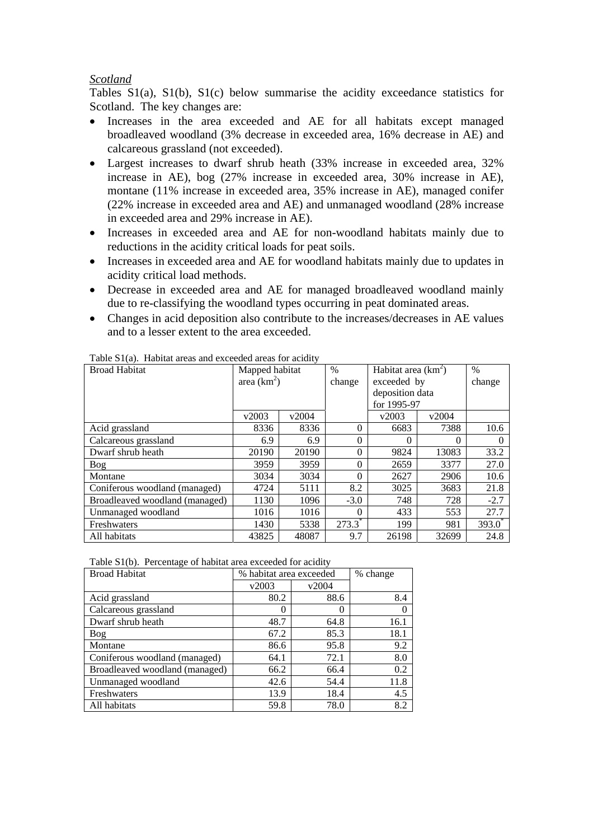## *Scotland*

Tables S1(a), S1(b), S1(c) below summarise the acidity exceedance statistics for Scotland. The key changes are:

- Increases in the area exceeded and AE for all habitats except managed broadleaved woodland (3% decrease in exceeded area, 16% decrease in AE) and calcareous grassland (not exceeded).
- Largest increases to dwarf shrub heath (33% increase in exceeded area, 32% increase in AE), bog (27% increase in exceeded area, 30% increase in AE), montane (11% increase in exceeded area, 35% increase in AE), managed conifer (22% increase in exceeded area and AE) and unmanaged woodland (28% increase in exceeded area and 29% increase in AE).
- Increases in exceeded area and AE for non-woodland habitats mainly due to reductions in the acidity critical loads for peat soils.
- Increases in exceeded area and AE for woodland habitats mainly due to updates in acidity critical load methods.
- Decrease in exceeded area and AE for managed broadleaved woodland mainly due to re-classifying the woodland types occurring in peat dominated areas.
- Changes in acid deposition also contribute to the increases/decreases in AE values and to a lesser extent to the area exceeded.

| <b>Broad Habitat</b>           | Mapped habitat |       | $\frac{0}{0}$        | Habitat area $(km^2)$ |       | $\%$      |
|--------------------------------|----------------|-------|----------------------|-----------------------|-------|-----------|
|                                | area $(km^2)$  |       | change               | exceeded by           |       | change    |
|                                |                |       |                      | deposition data       |       |           |
|                                |                |       |                      | for 1995-97           |       |           |
|                                | v2003          | v2004 |                      | v2003                 | v2004 |           |
| Acid grassland                 | 8336           | 8336  | $\Omega$             | 6683                  | 7388  | 10.6      |
| Calcareous grassland           | 6.9            | 6.9   | $\theta$             | $\theta$              | 0     | $\theta$  |
| Dwarf shrub heath              | 20190          | 20190 | 0                    | 9824                  | 13083 | 33.2      |
| Bog                            | 3959           | 3959  | $\theta$             | 2659                  | 3377  | 27.0      |
| Montane                        | 3034           | 3034  | $\Omega$             | 2627                  | 2906  | 10.6      |
| Coniferous woodland (managed)  | 4724           | 5111  | 8.2                  | 3025                  | 3683  | 21.8      |
| Broadleaved woodland (managed) | 1130           | 1096  | $-3.0$               | 748                   | 728   | $-2.7$    |
| Unmanaged woodland             | 1016           | 1016  | 0                    | 433                   | 553   | 27.7      |
| Freshwaters                    | 1430           | 5338  | $273.3$ <sup>*</sup> | 199                   | 981   | $393.0^*$ |
| All habitats                   | 43825          | 48087 | 9.7                  | 26198                 | 32699 | 24.8      |

Table S1(a). Habitat areas and exceeded areas for acidity

|  |  | Table S1(b). Percentage of habitat area exceeded for acidity |
|--|--|--------------------------------------------------------------|
|--|--|--------------------------------------------------------------|

| <b>Broad Habitat</b>           | % habitat area exceeded | % change |          |
|--------------------------------|-------------------------|----------|----------|
|                                | v2003                   | v2004    |          |
| Acid grassland                 | 80.2                    | 88.6     | 8.4      |
| Calcareous grassland           | 0                       | 0        | $\Omega$ |
| Dwarf shrub heath              | 48.7                    | 64.8     | 16.1     |
| Bog                            | 67.2                    | 85.3     | 18.1     |
| Montane                        | 86.6                    | 95.8     | 9.2      |
| Coniferous woodland (managed)  | 64.1                    | 72.1     | 8.0      |
| Broadleaved woodland (managed) | 66.2                    | 66.4     | 0.2      |
| Unmanaged woodland             | 42.6                    | 54.4     | 11.8     |
| Freshwaters                    | 13.9                    | 18.4     | 4.5      |
| All habitats                   | 59.8                    | 78.0     | 8.2      |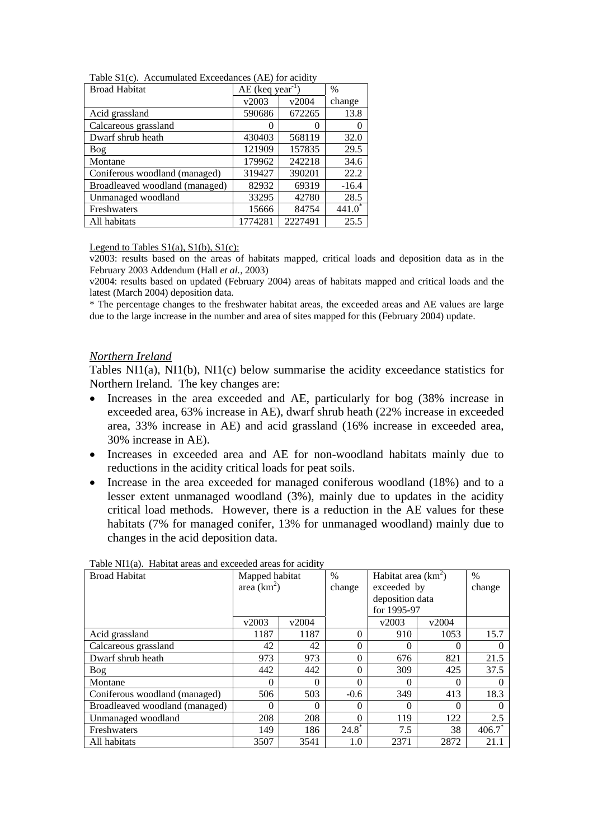| Table $S1(c)$ . Accumulated Exceedances (AE) for acidity |  |  |
|----------------------------------------------------------|--|--|
|                                                          |  |  |

| <b>Broad Habitat</b>           | $AE$ (keq year <sup>-1</sup> |         | $\%$    |
|--------------------------------|------------------------------|---------|---------|
|                                | v2003                        | v2004   | change  |
| Acid grassland                 | 590686                       | 672265  | 13.8    |
| Calcareous grassland           |                              |         |         |
| Dwarf shrub heath              | 430403                       | 568119  | 32.0    |
| <b>Bog</b>                     | 121909                       | 157835  | 29.5    |
| Montane                        | 179962                       | 242218  | 34.6    |
| Coniferous woodland (managed)  | 319427                       | 390201  | 22.2    |
| Broadleaved woodland (managed) | 82932                        | 69319   | $-16.4$ |
| Unmanaged woodland             | 33295                        | 42780   | 28.5    |
| Freshwaters                    | 15666                        | 84754   | 441.0   |
| All habitats                   | 1774281                      | 2227491 | 25.5    |

#### Legend to Tables  $S1(a)$ ,  $S1(b)$ ,  $S1(c)$ :

v2003: results based on the areas of habitats mapped, critical loads and deposition data as in the February 2003 Addendum (Hall *et al.*, 2003)

v2004: results based on updated (February 2004) areas of habitats mapped and critical loads and the latest (March 2004) deposition data.

\* The percentage changes to the freshwater habitat areas, the exceeded areas and AE values are large due to the large increase in the number and area of sites mapped for this (February 2004) update.

#### *Northern Ireland*

Tables NI1(a), NI1(b), NI1(c) below summarise the acidity exceedance statistics for Northern Ireland. The key changes are:

- Increases in the area exceeded and AE, particularly for bog (38% increase in exceeded area, 63% increase in AE), dwarf shrub heath (22% increase in exceeded area, 33% increase in AE) and acid grassland (16% increase in exceeded area, 30% increase in AE).
- Increases in exceeded area and AE for non-woodland habitats mainly due to reductions in the acidity critical loads for peat soils.
- Increase in the area exceeded for managed coniferous woodland (18%) and to a lesser extent unmanaged woodland (3%), mainly due to updates in the acidity critical load methods. However, there is a reduction in the AE values for these habitats (7% for managed conifer, 13% for unmanaged woodland) mainly due to changes in the acid deposition data.

| <b>Broad Habitat</b>           | Mapped habitat |          | $\%$     | Habitat area $(km^2)$ |             | $\frac{0}{0}$ |
|--------------------------------|----------------|----------|----------|-----------------------|-------------|---------------|
|                                | area $(km^2)$  |          | change   |                       | exceeded by |               |
|                                |                |          |          | deposition data       |             |               |
|                                |                |          |          | for 1995-97           |             |               |
|                                | v2003          | v2004    |          | v2003                 | v2004       |               |
| Acid grassland                 | 1187           | 1187     | 0        | 910                   | 1053        | 15.7          |
| Calcareous grassland           | 42             | 42       | 0        | 0                     | $\Omega$    | $\theta$      |
| Dwarf shrub heath              | 973            | 973      | 0        | 676                   | 821         | 21.5          |
| Bog                            | 442            | 442      | 0        | 309                   | 425         | 37.5          |
| Montane                        | $\Omega$       | $\Omega$ | 0        | 0                     | $\Omega$    |               |
| Coniferous woodland (managed)  | 506            | 503      | $-0.6$   | 349                   | 413         | 18.3          |
| Broadleaved woodland (managed) | $\Omega$       | 0        | 0        | 0                     | $\Omega$    |               |
| Unmanaged woodland             | 208            | 208      | 0        | 119                   | 122         | 2.5           |
| Freshwaters                    | 149            | 186      | $24.8^*$ | 7.5                   | 38          | $406.7^*$     |
| All habitats                   | 3507           | 3541     | 1.0      | 2371                  | 2872        | 21.1          |

Table NI1(a). Habitat areas and exceeded areas for acidity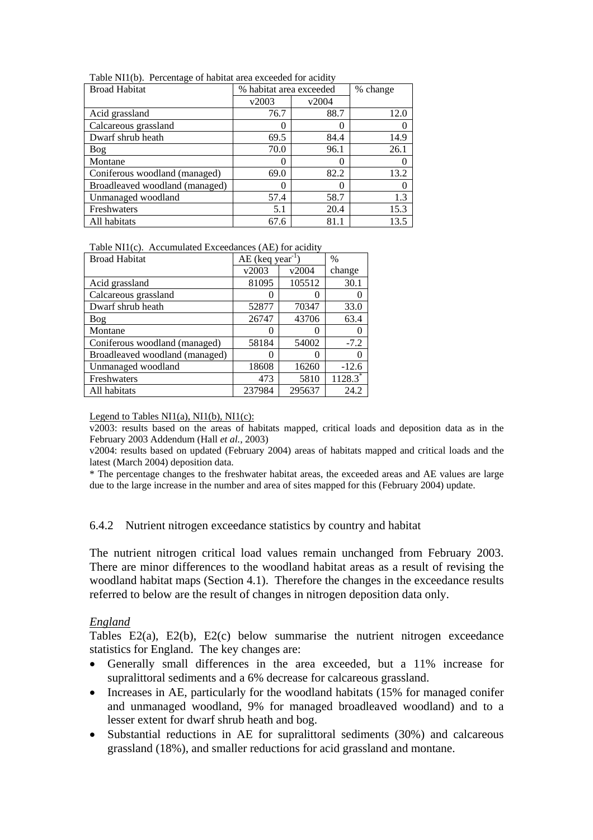| <b>Broad Habitat</b>           | % habitat area exceeded |       | % change |
|--------------------------------|-------------------------|-------|----------|
|                                | v2003                   | v2004 |          |
| Acid grassland                 | 76.7                    | 88.7  | 12.0     |
| Calcareous grassland           |                         |       | 0        |
| Dwarf shrub heath              | 69.5                    | 84.4  | 14.9     |
| Bog                            | 70.0                    | 96.1  | 26.1     |
| Montane                        |                         |       | O        |
| Coniferous woodland (managed)  | 69.0                    | 82.2  | 13.2     |
| Broadleaved woodland (managed) |                         | 0     | 0        |
| Unmanaged woodland             | 57.4                    | 58.7  | 1.3      |
| Freshwaters                    | 5.1                     | 20.4  | 15.3     |
| All habitats                   | 67.6                    | 81.1  | 13.5     |

Table NI1(b). Percentage of habitat area exceeded for acidity

| Table NI1(c). Accumulated Exceedances (AE) for acidity |  |
|--------------------------------------------------------|--|
|--------------------------------------------------------|--|

| <b>Broad Habitat</b>           | $AE$ (keq year <sup>-1</sup> |        | $\%$       |
|--------------------------------|------------------------------|--------|------------|
|                                | v2003                        | v2004  | change     |
| Acid grassland                 | 81095                        | 105512 | 30.1       |
| Calcareous grassland           |                              |        |            |
| Dwarf shrub heath              | 52877                        | 70347  | 33.0       |
| <b>Bog</b>                     | 26747                        | 43706  | 63.4       |
| Montane                        |                              |        | $\theta$   |
| Coniferous woodland (managed)  | 58184                        | 54002  | $-7.2$     |
| Broadleaved woodland (managed) | $\mathcal{O}$                |        |            |
| Unmanaged woodland             | 18608                        | 16260  | $-12.6$    |
| Freshwaters                    | 473                          | 5810   | $1128.3^*$ |
| All habitats                   | 237984                       | 295637 | 24.2       |

Legend to Tables  $NI1(a)$ ,  $NI1(b)$ ,  $NI1(c)$ :

v2003: results based on the areas of habitats mapped, critical loads and deposition data as in the February 2003 Addendum (Hall *et al.*, 2003)

v2004: results based on updated (February 2004) areas of habitats mapped and critical loads and the latest (March 2004) deposition data.

\* The percentage changes to the freshwater habitat areas, the exceeded areas and AE values are large due to the large increase in the number and area of sites mapped for this (February 2004) update.

#### 6.4.2 Nutrient nitrogen exceedance statistics by country and habitat

The nutrient nitrogen critical load values remain unchanged from February 2003. There are minor differences to the woodland habitat areas as a result of revising the woodland habitat maps (Section 4.1). Therefore the changes in the exceedance results referred to below are the result of changes in nitrogen deposition data only.

#### *England*

Tables E2(a), E2(b), E2(c) below summarise the nutrient nitrogen exceedance statistics for England. The key changes are:

- Generally small differences in the area exceeded, but a 11% increase for supralittoral sediments and a 6% decrease for calcareous grassland.
- Increases in AE, particularly for the woodland habitats (15% for managed conifer and unmanaged woodland, 9% for managed broadleaved woodland) and to a lesser extent for dwarf shrub heath and bog.
- Substantial reductions in AE for supralittoral sediments (30%) and calcareous grassland (18%), and smaller reductions for acid grassland and montane.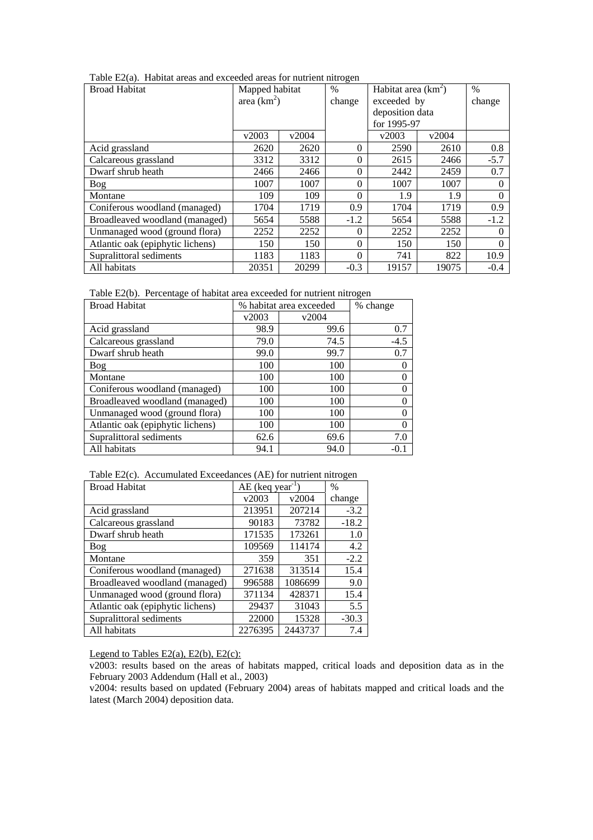| Table E2(a). Habitat areas and exceeded areas for nutrient nitrogen |  |  |  |  |
|---------------------------------------------------------------------|--|--|--|--|
|---------------------------------------------------------------------|--|--|--|--|

| <b>Broad Habitat</b>             | Mapped habitat |       | $\frac{0}{0}$ |                 | Habitat area $(km^2)$ |          |
|----------------------------------|----------------|-------|---------------|-----------------|-----------------------|----------|
|                                  | area $(km^2)$  |       | change        | exceeded by     |                       | change   |
|                                  |                |       |               | deposition data |                       |          |
|                                  |                |       |               | for 1995-97     |                       |          |
|                                  | v2003          | v2004 |               | v2003           | v2004                 |          |
| Acid grassland                   | 2620           | 2620  | $\theta$      | 2590            | 2610                  | 0.8      |
| Calcareous grassland             | 3312           | 3312  | $\theta$      | 2615            | 2466                  | $-5.7$   |
| Dwarf shrub heath                | 2466           | 2466  | $\theta$      | 2442            | 2459                  | 0.7      |
| Bog                              | 1007           | 1007  | $\theta$      | 1007            | 1007                  |          |
| Montane                          | 109            | 109   | $\Omega$      | 1.9             | 1.9                   | $\Omega$ |
| Coniferous woodland (managed)    | 1704           | 1719  | 0.9           | 1704            | 1719                  | 0.9      |
| Broadleaved woodland (managed)   | 5654           | 5588  | $-1.2$        | 5654            | 5588                  | $-1.2$   |
| Unmanaged wood (ground flora)    | 2252           | 2252  | $\Omega$      | 2252            | 2252                  | $\Omega$ |
| Atlantic oak (epiphytic lichens) | 150            | 150   | $\theta$      | 150             | 150                   |          |
| Supralittoral sediments          | 1183           | 1183  | $\theta$      | 741             | 822                   | 10.9     |
| All habitats                     | 20351          | 20299 | $-0.3$        | 19157           | 19075                 | $-0.4$   |

Table E2(b). Percentage of habitat area exceeded for nutrient nitrogen

| <b>Broad Habitat</b>             |       | % habitat area exceeded |        |  |
|----------------------------------|-------|-------------------------|--------|--|
|                                  | v2003 | v2004                   |        |  |
| Acid grassland                   | 98.9  | 99.6                    | 0.7    |  |
| Calcareous grassland             | 79.0  | 74.5                    | $-4.5$ |  |
| Dwarf shrub heath                | 99.0  | 99.7                    | 0.7    |  |
| <b>Bog</b>                       | 100   | 100                     |        |  |
| Montane                          | 100   | 100                     |        |  |
| Coniferous woodland (managed)    | 100   | 100                     |        |  |
| Broadleaved woodland (managed)   | 100   | 100                     |        |  |
| Unmanaged wood (ground flora)    | 100   | 100                     |        |  |
| Atlantic oak (epiphytic lichens) | 100   | 100                     |        |  |
| Supralittoral sediments          | 62.6  | 69.6                    | 7.0    |  |
| All habitats                     | 94.1  | 94.0                    | $-0.1$ |  |

Table E2(c). Accumulated Exceedances (AE) for nutrient nitrogen

| <b>Broad Habitat</b>             |         | $AE$ (keq year <sup>-1</sup> |         |
|----------------------------------|---------|------------------------------|---------|
|                                  | v2003   | v2004                        | change  |
| Acid grassland                   | 213951  | 207214                       | $-3.2$  |
| Calcareous grassland             | 90183   | 73782                        | $-18.2$ |
| Dwarf shrub heath                | 171535  | 173261                       | 1.0     |
| Bog                              | 109569  | 114174                       | 4.2     |
| Montane                          | 359     | 351                          | $-2.2$  |
| Coniferous woodland (managed)    | 271638  | 313514                       | 15.4    |
| Broadleaved woodland (managed)   | 996588  | 1086699                      | 9.0     |
| Unmanaged wood (ground flora)    | 371134  | 428371                       | 15.4    |
| Atlantic oak (epiphytic lichens) | 29437   | 31043                        | 5.5     |
| Supralittoral sediments          | 22000   | 15328                        | $-30.3$ |
| All habitats                     | 2276395 | 2443737                      | 7.4     |

Legend to Tables E2(a), E2(b), E2(c):

 $\frac{1}{2003}$ : results based on the areas of habitats mapped, critical loads and deposition data as in the February 2003 Addendum (Hall et al., 2003)

v2004: results based on updated (February 2004) areas of habitats mapped and critical loads and the latest (March 2004) deposition data.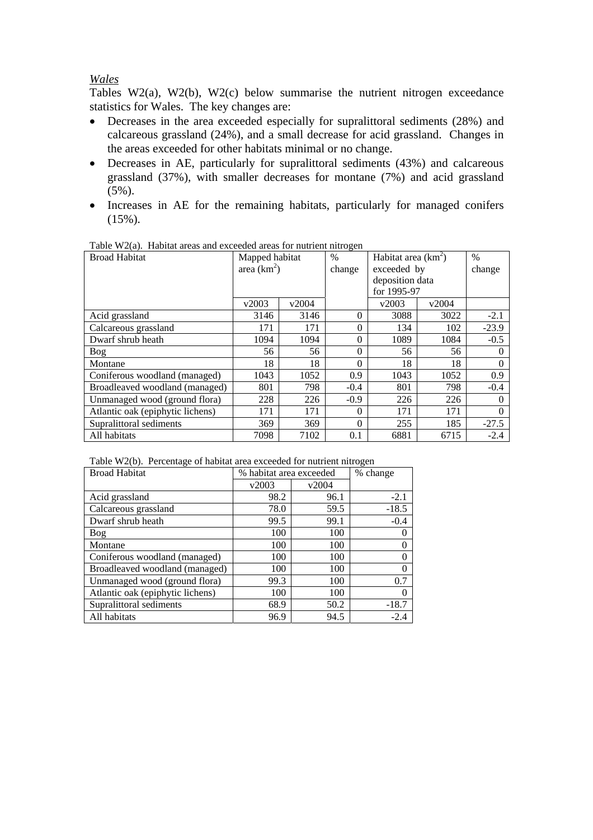## *Wales*

Tables W2(a), W2(b), W2(c) below summarise the nutrient nitrogen exceedance statistics for Wales. The key changes are:

- Decreases in the area exceeded especially for supralittoral sediments (28%) and calcareous grassland (24%), and a small decrease for acid grassland. Changes in the areas exceeded for other habitats minimal or no change.
- Decreases in AE, particularly for supralittoral sediments (43%) and calcareous grassland (37%), with smaller decreases for montane (7%) and acid grassland (5%).
- Increases in AE for the remaining habitats, particularly for managed conifers  $(15\%)$ .

| Table W2(a). Thabhal areas and executed areas for multiplicities. |                |       |          |                       |       |               |  |  |
|-------------------------------------------------------------------|----------------|-------|----------|-----------------------|-------|---------------|--|--|
| <b>Broad Habitat</b>                                              | Mapped habitat |       | $\%$     | Habitat area $(km^2)$ |       | $\frac{0}{0}$ |  |  |
|                                                                   | area $(km^2)$  |       | change   | exceeded by           |       | change        |  |  |
|                                                                   |                |       |          | deposition data       |       |               |  |  |
|                                                                   |                |       |          | for 1995-97           |       |               |  |  |
|                                                                   | v2003          | v2004 |          | v2003                 | v2004 |               |  |  |
| Acid grassland                                                    | 3146           | 3146  | $\Omega$ | 3088                  | 3022  | $-2.1$        |  |  |
| Calcareous grassland                                              | 171            | 171   | $\theta$ | 134                   | 102   | $-23.9$       |  |  |
| Dwarf shrub heath                                                 | 1094           | 1094  | $\theta$ | 1089                  | 1084  | $-0.5$        |  |  |
| Bog                                                               | 56             | 56    | $\Omega$ | 56                    | 56    |               |  |  |
| Montane                                                           | 18             | 18    | $\Omega$ | 18                    | 18    |               |  |  |
| Coniferous woodland (managed)                                     | 1043           | 1052  | 0.9      | 1043                  | 1052  | 0.9           |  |  |
| Broadleaved woodland (managed)                                    | 801            | 798   | $-0.4$   | 801                   | 798   | $-0.4$        |  |  |
| Unmanaged wood (ground flora)                                     | 228            | 226   | $-0.9$   | 226                   | 226   |               |  |  |
| Atlantic oak (epiphytic lichens)                                  | 171            | 171   | $\Omega$ | 171                   | 171   | $\theta$      |  |  |
| Supralittoral sediments                                           | 369            | 369   | $\Omega$ | 255                   | 185   | $-27.5$       |  |  |
| All habitats                                                      | 7098           | 7102  | 0.1      | 6881                  | 6715  | $-2.4$        |  |  |

Table W2(a). Habitat areas and exceeded areas for nutrient nitrogen

|  | Table W2(b). Percentage of habitat area exceeded for nutrient nitrogen |
|--|------------------------------------------------------------------------|
|  |                                                                        |

| <b>Broad Habitat</b>             | % habitat area exceeded |       | % change |
|----------------------------------|-------------------------|-------|----------|
|                                  | v2003                   | v2004 |          |
| Acid grassland                   | 98.2                    | 96.1  | $-2.1$   |
| Calcareous grassland             | 78.0                    | 59.5  | $-18.5$  |
| Dwarf shrub heath                | 99.5                    | 99.1  | $-0.4$   |
| Bog                              | 100                     | 100   |          |
| Montane                          | 100                     | 100   |          |
| Coniferous woodland (managed)    | 100                     | 100   |          |
| Broadleaved woodland (managed)   | 100                     | 100   |          |
| Unmanaged wood (ground flora)    | 99.3                    | 100   | 0.7      |
| Atlantic oak (epiphytic lichens) | 100                     | 100   | 0        |
| Supralittoral sediments          | 68.9                    | 50.2  | $-18.7$  |
| All habitats                     | 96.9                    | 94.5  | $-2.4$   |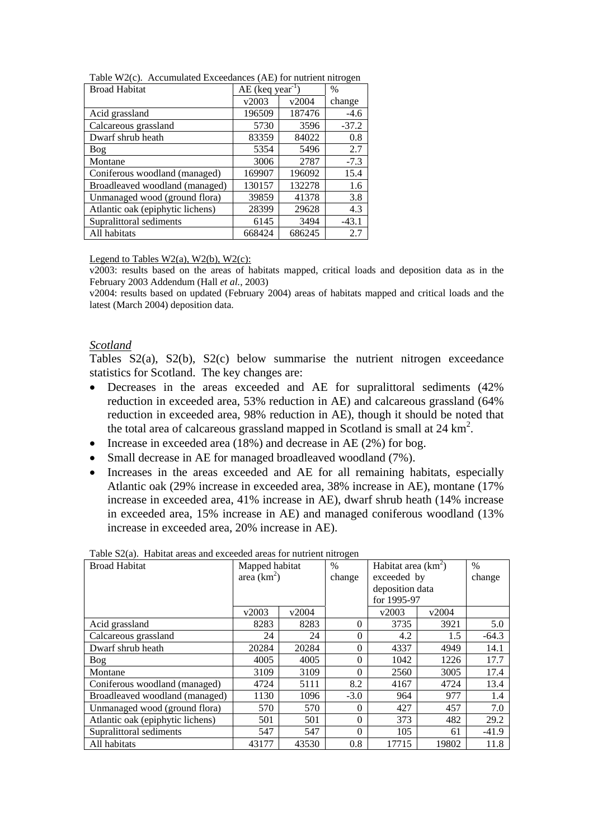| <b>Broad Habitat</b>             |        | $AE$ (keq year <sup>-1</sup> |         |
|----------------------------------|--------|------------------------------|---------|
|                                  | v2003  | v2004                        | change  |
| Acid grassland                   | 196509 | 187476                       | $-4.6$  |
| Calcareous grassland             | 5730   | 3596                         | $-37.2$ |
| Dwarf shrub heath                | 83359  | 84022                        | 0.8     |
| Bog                              | 5354   | 5496                         | 2.7     |
| Montane                          | 3006   | 2787                         | $-7.3$  |
| Coniferous woodland (managed)    | 169907 | 196092                       | 15.4    |
| Broadleaved woodland (managed)   | 130157 | 132278                       | 1.6     |
| Unmanaged wood (ground flora)    | 39859  | 41378                        | 3.8     |
| Atlantic oak (epiphytic lichens) | 28399  | 29628                        | 4.3     |
| Supralittoral sediments          | 6145   | 3494                         | $-43.1$ |
| All habitats                     | 668424 | 686245                       | 2.7     |

Table W2(c). Accumulated Exceedances (AE) for nutrient nitrogen

Legend to Tables W2(a), W2(b), W2(c):

v2003: results based on the areas of habitats mapped, critical loads and deposition data as in the February 2003 Addendum (Hall *et al.*, 2003)

v2004: results based on updated (February 2004) areas of habitats mapped and critical loads and the latest (March 2004) deposition data.

#### *Scotland*

Tables S2(a), S2(b), S2(c) below summarise the nutrient nitrogen exceedance statistics for Scotland. The key changes are:

- Decreases in the areas exceeded and AE for supralittoral sediments (42% reduction in exceeded area, 53% reduction in AE) and calcareous grassland (64% reduction in exceeded area, 98% reduction in AE), though it should be noted that the total area of calcareous grassland mapped in Scotland is small at  $24 \text{ km}^2$ .
- Increase in exceeded area (18%) and decrease in AE (2%) for bog.
- Small decrease in AE for managed broadleaved woodland (7%).
- Increases in the areas exceeded and AE for all remaining habitats, especially Atlantic oak (29% increase in exceeded area, 38% increase in AE), montane (17% increase in exceeded area, 41% increase in AE), dwarf shrub heath (14% increase in exceeded area, 15% increase in AE) and managed coniferous woodland (13% increase in exceeded area, 20% increase in AE).

| <b>Broad Habitat</b>             | Mapped habitat |       | $\%$     | Habitat area $(km^2)$ |       | $\frac{0}{0}$ |
|----------------------------------|----------------|-------|----------|-----------------------|-------|---------------|
|                                  | area $(km^2)$  |       | change   | exceeded by           |       | change        |
|                                  |                |       |          | deposition data       |       |               |
|                                  |                |       |          | for 1995-97           |       |               |
|                                  | v2003          | v2004 |          | v2003                 | v2004 |               |
| Acid grassland                   | 8283           | 8283  | $\Omega$ | 3735                  | 3921  | 5.0           |
| Calcareous grassland             | 24             | 24    | $\theta$ | 4.2                   | 1.5   | $-64.3$       |
| Dwarf shrub heath                | 20284          | 20284 | $\Omega$ | 4337                  | 4949  | 14.1          |
| <b>Bog</b>                       | 4005           | 4005  | $\Omega$ | 1042                  | 1226  | 17.7          |
| Montane                          | 3109           | 3109  | $\theta$ | 2560                  | 3005  | 17.4          |
| Coniferous woodland (managed)    | 4724           | 5111  | 8.2      | 4167                  | 4724  | 13.4          |
| Broadleaved woodland (managed)   | 1130           | 1096  | $-3.0$   | 964                   | 977   | 1.4           |
| Unmanaged wood (ground flora)    | 570            | 570   | $\Omega$ | 427                   | 457   | 7.0           |
| Atlantic oak (epiphytic lichens) | 501            | 501   | $\theta$ | 373                   | 482   | 29.2          |
| Supralittoral sediments          | 547            | 547   | $\theta$ | 105                   | 61    | $-41.9$       |
| All habitats                     | 43177          | 43530 | 0.8      | 17715                 | 19802 | 11.8          |

| Table S2(a). Habitat areas and exceeded areas for nutrient nitrogen |  |
|---------------------------------------------------------------------|--|
|                                                                     |  |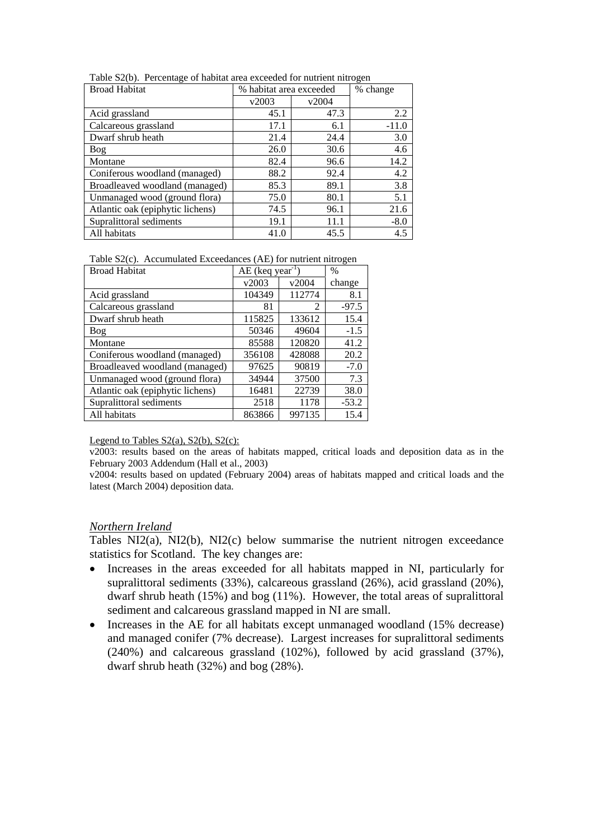| <b>Broad Habitat</b>             |       | % habitat area exceeded |         |  |
|----------------------------------|-------|-------------------------|---------|--|
|                                  | v2003 | v2004                   |         |  |
| Acid grassland                   | 45.1  | 47.3                    | 2.2     |  |
| Calcareous grassland             | 17.1  | 6.1                     | $-11.0$ |  |
| Dwarf shrub heath                | 21.4  | 24.4                    | 3.0     |  |
| Bog                              | 26.0  | 30.6                    | 4.6     |  |
| Montane                          | 82.4  | 96.6                    | 14.2    |  |
| Coniferous woodland (managed)    | 88.2  | 92.4                    | 4.2     |  |
| Broadleaved woodland (managed)   | 85.3  | 89.1                    | 3.8     |  |
| Unmanaged wood (ground flora)    | 75.0  | 80.1                    | 5.1     |  |
| Atlantic oak (epiphytic lichens) | 74.5  | 96.1                    | 21.6    |  |
| Supralittoral sediments          | 19.1  | 11.1                    | $-8.0$  |  |
| All habitats                     | 41.0  | 45.5                    | 4.5     |  |

Table S2(b). Percentage of habitat area exceeded for nutrient nitrogen

Table S2(c). Accumulated Exceedances (AE) for nutrient nitrogen

| <b>Broad Habitat</b>             | $AE$ (keq year <sup>-1</sup> ) |                | $\%$    |
|----------------------------------|--------------------------------|----------------|---------|
|                                  | v2003                          | v2004          | change  |
| Acid grassland                   | 104349                         | 112774         | 8.1     |
| Calcareous grassland             | 81                             | $\mathfrak{D}$ | $-97.5$ |
| Dwarf shrub heath                | 115825                         | 133612         | 15.4    |
| Bog                              | 50346                          | 49604          | $-1.5$  |
| Montane                          | 85588                          | 120820         | 41.2    |
| Coniferous woodland (managed)    | 356108                         | 428088         | 20.2    |
| Broadleaved woodland (managed)   | 97625                          | 90819          | $-7.0$  |
| Unmanaged wood (ground flora)    | 34944                          | 37500          | 7.3     |
| Atlantic oak (epiphytic lichens) | 16481                          | 22739          | 38.0    |
| Supralittoral sediments          | 2518                           | 1178           | $-53.2$ |
| All habitats                     | 863866                         | 997135         | 15.4    |

Legend to Tables  $S_2(a)$ ,  $S_2(b)$ ,  $S_2(c)$ :

v2003: results based on the areas of habitats mapped, critical loads and deposition data as in the February 2003 Addendum (Hall et al., 2003)

v2004: results based on updated (February 2004) areas of habitats mapped and critical loads and the latest (March 2004) deposition data.

#### *Northern Ireland*

Tables NI2(a), NI2(b), NI2(c) below summarise the nutrient nitrogen exceedance statistics for Scotland. The key changes are:

- Increases in the areas exceeded for all habitats mapped in NI, particularly for supralittoral sediments (33%), calcareous grassland (26%), acid grassland (20%), dwarf shrub heath (15%) and bog (11%). However, the total areas of supralittoral sediment and calcareous grassland mapped in NI are small.
- Increases in the AE for all habitats except unmanaged woodland (15% decrease) and managed conifer (7% decrease). Largest increases for supralittoral sediments (240%) and calcareous grassland (102%), followed by acid grassland (37%), dwarf shrub heath (32%) and bog (28%).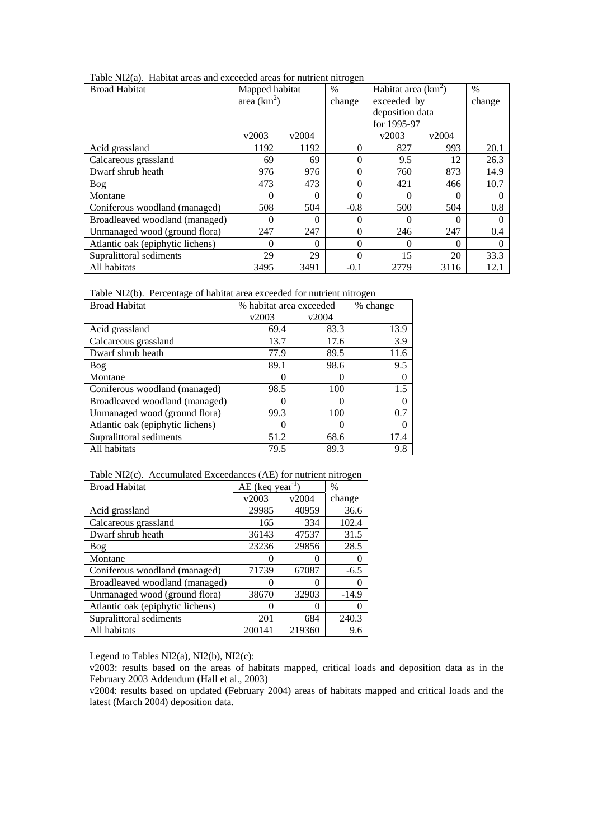| Table NI2(a). Habitat areas and exceeded areas for nutrient nitrogen |
|----------------------------------------------------------------------|
|----------------------------------------------------------------------|

| <b>Broad Habitat</b>             | Mapped habitat |          | $\%$     | Habitat area $(km^2)$ |                  | $\%$   |
|----------------------------------|----------------|----------|----------|-----------------------|------------------|--------|
|                                  | area $(km^2)$  |          | change   | exceeded by           |                  | change |
|                                  |                |          |          | deposition data       |                  |        |
|                                  |                |          |          | for 1995-97           |                  |        |
|                                  | v2003          | v2004    |          | v2003                 | v2004            |        |
| Acid grassland                   | 1192           | 1192     | $\theta$ | 827                   | 993              | 20.1   |
| Calcareous grassland             | 69             | 69       | $\theta$ | 9.5                   | 12               | 26.3   |
| Dwarf shrub heath                | 976            | 976      | $\theta$ | 760                   | 873              | 14.9   |
| Bog                              | 473            | 473      | $\theta$ | 421                   | 466              | 10.7   |
| Montane                          | $\Omega$       | $\Omega$ | $\Omega$ | 0                     | 0                |        |
| Coniferous woodland (managed)    | 508            | 504      | $-0.8$   | 500                   | 504              | 0.8    |
| Broadleaved woodland (managed)   | $\theta$       | $\theta$ | 0        | 0                     | $\left( \right)$ |        |
| Unmanaged wood (ground flora)    | 247            | 247      | $\Omega$ | 246                   | 247              | 0.4    |
| Atlantic oak (epiphytic lichens) |                | 0        | $\theta$ | 0                     |                  |        |
| Supralittoral sediments          | 29             | 29       | $\theta$ | 15                    | 20               | 33.3   |
| All habitats                     | 3495           | 3491     | $-0.1$   | 2779                  | 3116             | 12.1   |

Table NI2(b). Percentage of habitat area exceeded for nutrient nitrogen

| <b>Broad Habitat</b>             | % habitat area exceeded |       | % change |
|----------------------------------|-------------------------|-------|----------|
|                                  | v2003                   | v2004 |          |
| Acid grassland                   | 69.4                    | 83.3  | 13.9     |
| Calcareous grassland             | 13.7                    | 17.6  | 3.9      |
| Dwarf shrub heath                | 77.9                    | 89.5  | 11.6     |
| Bog                              | 89.1                    | 98.6  | 9.5      |
| Montane                          |                         | 0     |          |
| Coniferous woodland (managed)    | 98.5                    | 100   | 1.5      |
| Broadleaved woodland (managed)   | 0                       | 0     |          |
| Unmanaged wood (ground flora)    | 99.3                    | 100   | 0.7      |
| Atlantic oak (epiphytic lichens) | 0                       | 0     |          |
| Supralittoral sediments          | 51.2                    | 68.6  | 17.4     |
| All habitats                     | 79.5                    | 89.3  | 9.8      |

Table NI2(c). Accumulated Exceedances (AE) for nutrient nitrogen

| <b>Broad Habitat</b>             |                   | AE (keq year <sup>-1</sup> |         |
|----------------------------------|-------------------|----------------------------|---------|
|                                  | v2003             | v2004                      | change  |
| Acid grassland                   | 29985             | 40959                      | 36.6    |
| Calcareous grassland             | 165               | 334                        | 102.4   |
| Dwarf shrub heath                | 36143             | 47537                      | 31.5    |
| <b>Bog</b>                       | 23236             | 29856                      | 28.5    |
| Montane                          | 0                 | $\mathbf{\Omega}$          |         |
| Coniferous woodland (managed)    | 71739             | 67087                      | $-6.5$  |
| Broadleaved woodland (managed)   |                   | 0                          |         |
| Unmanaged wood (ground flora)    | 38670             | 32903                      | $-14.9$ |
| Atlantic oak (epiphytic lichens) | $\mathbf{\Omega}$ | $\mathbf{0}$               |         |
| Supralittoral sediments          | 201               | 684                        | 240.3   |
| All habitats                     | 200141            | 219360                     | 9.6     |

Legend to Tables NI2(a), NI2(b), NI2(c):

v2003: results based on the areas of habitats mapped, critical loads and deposition data as in the February 2003 Addendum (Hall et al., 2003)

v2004: results based on updated (February 2004) areas of habitats mapped and critical loads and the latest (March 2004) deposition data.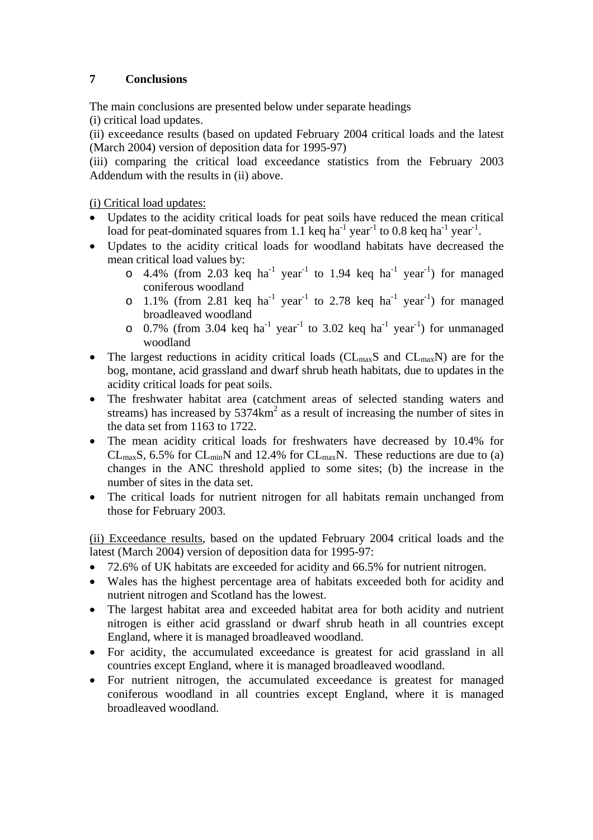# **7 Conclusions**

The main conclusions are presented below under separate headings (i) critical load updates.

(ii) exceedance results (based on updated February 2004 critical loads and the latest (March 2004) version of deposition data for 1995-97)

(iii) comparing the critical load exceedance statistics from the February 2003 Addendum with the results in (ii) above.

(i) Critical load updates:

- Updates to the acidity critical loads for peat soils have reduced the mean critical load for peat-dominated squares from 1.1 keq ha<sup>-1</sup> year<sup>-1</sup> to 0.8 keq ha<sup>-1</sup> year<sup>-1</sup>.
- Updates to the acidity critical loads for woodland habitats have decreased the mean critical load values by:
	- $\circ$  4.4% (from 2.03 keq ha<sup>-1</sup> year<sup>-1</sup> to 1.94 keq ha<sup>-1</sup> year<sup>-1</sup>) for managed coniferous woodland
	- o 1.1% (from 2.81 keq ha<sup>-1</sup> year<sup>-1</sup> to 2.78 keq ha<sup>-1</sup> year<sup>-1</sup>) for managed broadleaved woodland
	- $\circ$  0.7% (from 3.04 keq ha<sup>-1</sup> year<sup>-1</sup> to 3.02 keq ha<sup>-1</sup> year<sup>-1</sup>) for unmanaged woodland
- The largest reductions in acidity critical loads ( $CL_{max}S$  and  $CL_{max}N$ ) are for the bog, montane, acid grassland and dwarf shrub heath habitats, due to updates in the acidity critical loads for peat soils.
- The freshwater habitat area (catchment areas of selected standing waters and streams) has increased by  $5374 \text{km}^2$  as a result of increasing the number of sites in the data set from 1163 to 1722.
- The mean acidity critical loads for freshwaters have decreased by 10.4% for  $CL_{max}S$ , 6.5% for  $CL_{min}N$  and 12.4% for  $CL_{max}N$ . These reductions are due to (a) changes in the ANC threshold applied to some sites; (b) the increase in the number of sites in the data set.
- The critical loads for nutrient nitrogen for all habitats remain unchanged from those for February 2003.

(ii) Exceedance results, based on the updated February 2004 critical loads and the latest (March 2004) version of deposition data for 1995-97:

- 72.6% of UK habitats are exceeded for acidity and 66.5% for nutrient nitrogen.
- Wales has the highest percentage area of habitats exceeded both for acidity and nutrient nitrogen and Scotland has the lowest.
- The largest habitat area and exceeded habitat area for both acidity and nutrient nitrogen is either acid grassland or dwarf shrub heath in all countries except England, where it is managed broadleaved woodland.
- For acidity, the accumulated exceedance is greatest for acid grassland in all countries except England, where it is managed broadleaved woodland.
- For nutrient nitrogen, the accumulated exceedance is greatest for managed coniferous woodland in all countries except England, where it is managed broadleaved woodland.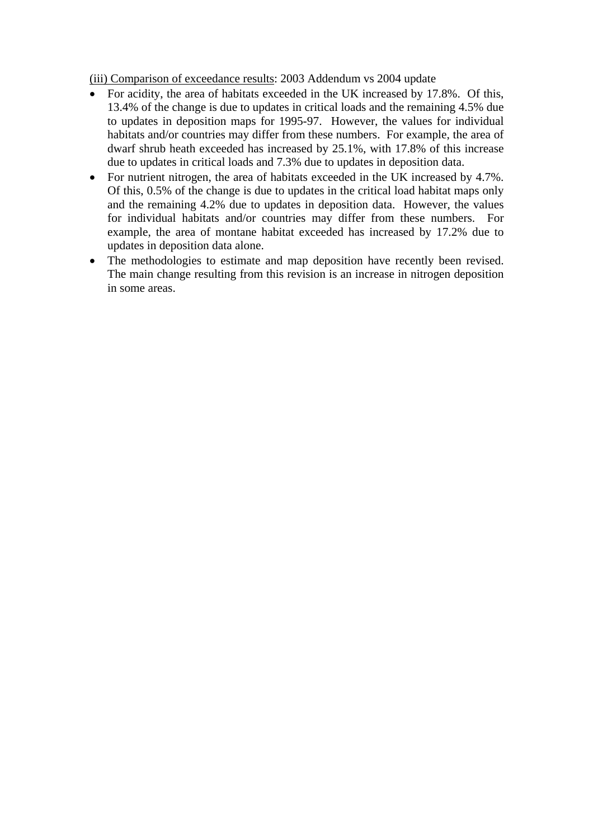(iii) Comparison of exceedance results: 2003 Addendum vs 2004 update

- For acidity, the area of habitats exceeded in the UK increased by 17.8%. Of this, 13.4% of the change is due to updates in critical loads and the remaining 4.5% due to updates in deposition maps for 1995-97. However, the values for individual habitats and/or countries may differ from these numbers. For example, the area of dwarf shrub heath exceeded has increased by 25.1%, with 17.8% of this increase due to updates in critical loads and 7.3% due to updates in deposition data.
- For nutrient nitrogen, the area of habitats exceeded in the UK increased by 4.7%. Of this, 0.5% of the change is due to updates in the critical load habitat maps only and the remaining 4.2% due to updates in deposition data. However, the values for individual habitats and/or countries may differ from these numbers. For example, the area of montane habitat exceeded has increased by 17.2% due to updates in deposition data alone.
- The methodologies to estimate and map deposition have recently been revised. The main change resulting from this revision is an increase in nitrogen deposition in some areas.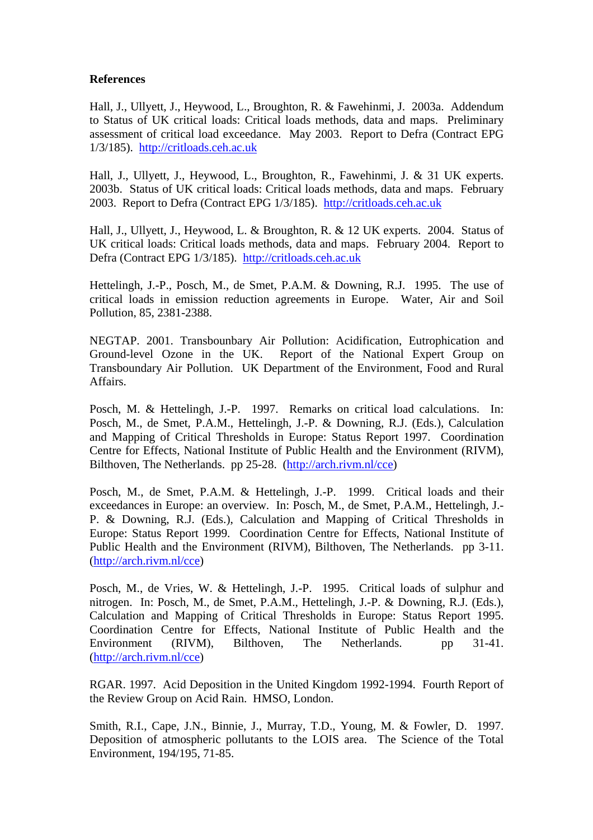## **References**

Hall, J., Ullyett, J., Heywood, L., Broughton, R. & Fawehinmi, J. 2003a. Addendum to Status of UK critical loads: Critical loads methods, data and maps. Preliminary assessment of critical load exceedance. May 2003. Report to Defra (Contract EPG 1/3/185). http://critloads.ceh.ac.uk

Hall, J., Ullyett, J., Heywood, L., Broughton, R., Fawehinmi, J. & 31 UK experts. 2003b. Status of UK critical loads: Critical loads methods, data and maps. February 2003. Report to Defra (Contract EPG 1/3/185). http://critloads.ceh.ac.uk

Hall, J., Ullyett, J., Heywood, L. & Broughton, R. & 12 UK experts. 2004. Status of UK critical loads: Critical loads methods, data and maps. February 2004. Report to Defra (Contract EPG 1/3/185). http://critloads.ceh.ac.uk

Hettelingh, J.-P., Posch, M., de Smet, P.A.M. & Downing, R.J. 1995. The use of critical loads in emission reduction agreements in Europe. Water, Air and Soil Pollution, 85, 2381-2388.

NEGTAP. 2001. Transbounbary Air Pollution: Acidification, Eutrophication and Ground-level Ozone in the UK. Report of the National Expert Group on Transboundary Air Pollution. UK Department of the Environment, Food and Rural Affairs.

Posch, M. & Hettelingh, J.-P. 1997. Remarks on critical load calculations. In: Posch, M., de Smet, P.A.M., Hettelingh, J.-P. & Downing, R.J. (Eds.), Calculation and Mapping of Critical Thresholds in Europe: Status Report 1997. Coordination Centre for Effects, National Institute of Public Health and the Environment (RIVM), Bilthoven, The Netherlands. pp 25-28. (http://arch.rivm.nl/cce)

Posch, M., de Smet, P.A.M. & Hettelingh, J.-P. 1999. Critical loads and their exceedances in Europe: an overview. In: Posch, M., de Smet, P.A.M., Hettelingh, J.- P. & Downing, R.J. (Eds.), Calculation and Mapping of Critical Thresholds in Europe: Status Report 1999. Coordination Centre for Effects, National Institute of Public Health and the Environment (RIVM), Bilthoven, The Netherlands. pp 3-11. (http://arch.rivm.nl/cce)

Posch, M., de Vries, W. & Hettelingh, J.-P. 1995. Critical loads of sulphur and nitrogen. In: Posch, M., de Smet, P.A.M., Hettelingh, J.-P. & Downing, R.J. (Eds.), Calculation and Mapping of Critical Thresholds in Europe: Status Report 1995. Coordination Centre for Effects, National Institute of Public Health and the Environment (RIVM), Bilthoven, The Netherlands. pp 31-41. (http://arch.rivm.nl/cce)

RGAR. 1997. Acid Deposition in the United Kingdom 1992-1994. Fourth Report of the Review Group on Acid Rain. HMSO, London.

Smith, R.I., Cape, J.N., Binnie, J., Murray, T.D., Young, M. & Fowler, D. 1997. Deposition of atmospheric pollutants to the LOIS area. The Science of the Total Environment, 194/195, 71-85.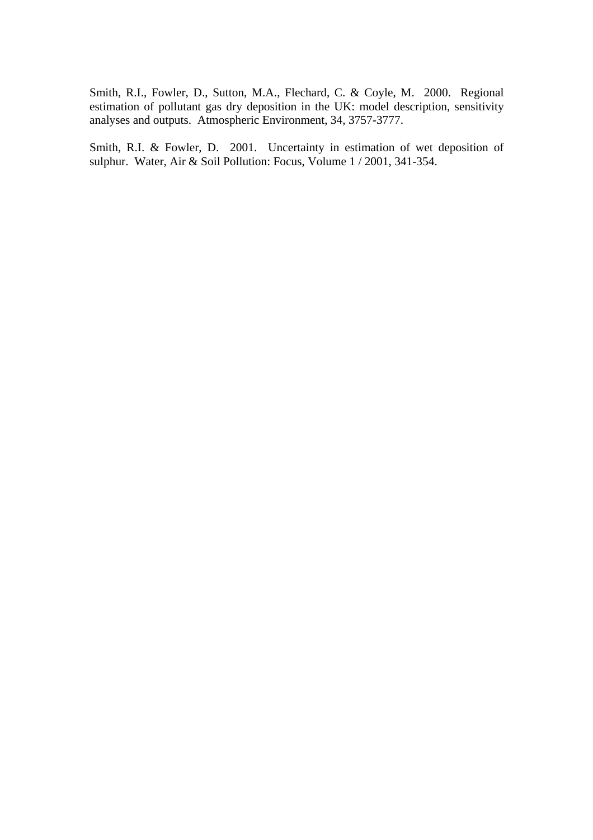Smith, R.I., Fowler, D., Sutton, M.A., Flechard, C. & Coyle, M. 2000. Regional estimation of pollutant gas dry deposition in the UK: model description, sensitivity analyses and outputs. Atmospheric Environment, 34, 3757-3777.

Smith, R.I. & Fowler, D. 2001. Uncertainty in estimation of wet deposition of sulphur. Water, Air & Soil Pollution: Focus, Volume 1 / 2001, 341-354.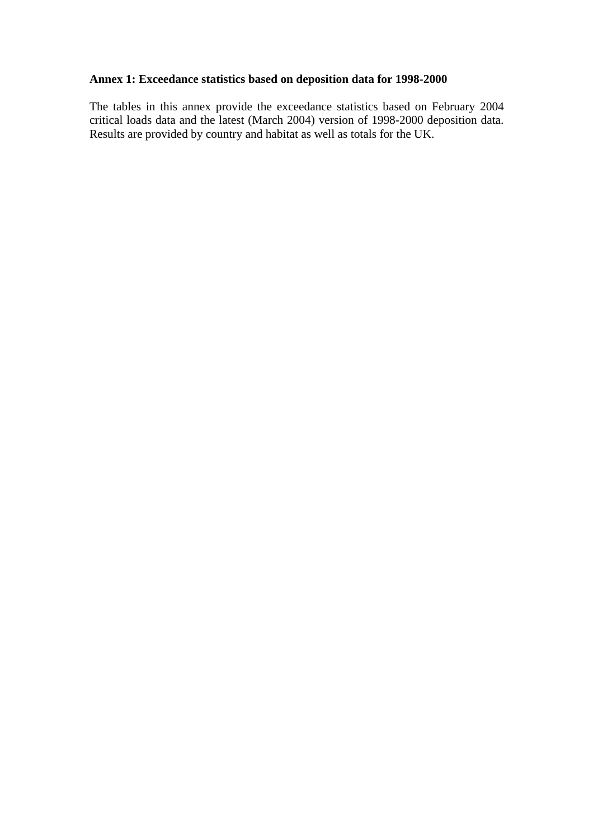# **Annex 1: Exceedance statistics based on deposition data for 1998-2000**

The tables in this annex provide the exceedance statistics based on February 2004 critical loads data and the latest (March 2004) version of 1998-2000 deposition data. Results are provided by country and habitat as well as totals for the UK.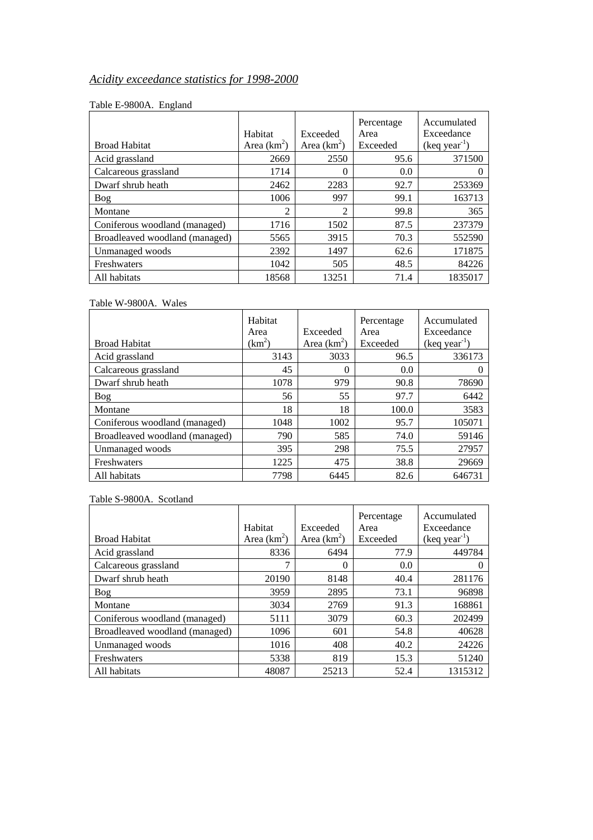# *Acidity exceedance statistics for 1998-2000*

## Table E-9800A. England

|                                | Habitat       | Exceeded      | Percentage<br>Area | Accumulated<br>Exceedance |
|--------------------------------|---------------|---------------|--------------------|---------------------------|
| <b>Broad Habitat</b>           | Area $(km^2)$ | Area $(km^2)$ | Exceeded           | $(keq year-1)$            |
| Acid grassland                 | 2669          | 2550          | 95.6               | 371500                    |
| Calcareous grassland           | 1714          | $\Omega$      | 0.0                |                           |
| Dwarf shrub heath              | 2462          | 2283          | 92.7               | 253369                    |
| <b>Bog</b>                     | 1006          | 997           | 99.1               | 163713                    |
| Montane                        | C             | 2             | 99.8               | 365                       |
| Coniferous woodland (managed)  | 1716          | 1502          | 87.5               | 237379                    |
| Broadleaved woodland (managed) | 5565          | 3915          | 70.3               | 552590                    |
| Unmanaged woods                | 2392          | 1497          | 62.6               | 171875                    |
| Freshwaters                    | 1042          | 505           | 48.5               | 84226                     |
| All habitats                   | 18568         | 13251         | 71.4               | 1835017                   |

## Table W-9800A. Wales

| <b>Broad Habitat</b>           | Habitat<br>Area<br>$(km^2)$ | Exceeded<br>Area $(km^2)$ | Percentage<br>Area<br>Exceeded | Accumulated<br>Exceedance<br>$(keq year-1)$ |
|--------------------------------|-----------------------------|---------------------------|--------------------------------|---------------------------------------------|
| Acid grassland                 | 3143                        | 3033                      | 96.5                           | 336173                                      |
| Calcareous grassland           | 45                          | 0                         | 0.0                            |                                             |
| Dwarf shrub heath              | 1078                        | 979                       | 90.8                           | 78690                                       |
| <b>Bog</b>                     | 56                          | 55                        | 97.7                           | 6442                                        |
| Montane                        | 18                          | 18                        | 100.0                          | 3583                                        |
| Coniferous woodland (managed)  | 1048                        | 1002                      | 95.7                           | 105071                                      |
| Broadleaved woodland (managed) | 790                         | 585                       | 74.0                           | 59146                                       |
| Unmanaged woods                | 395                         | 298                       | 75.5                           | 27957                                       |
| Freshwaters                    | 1225                        | 475                       | 38.8                           | 29669                                       |
| All habitats                   | 7798                        | 6445                      | 82.6                           | 646731                                      |

## Table S-9800A. Scotland

|                                | Habitat       | Exceeded      | Percentage<br>Area | Accumulated<br>Exceedance |
|--------------------------------|---------------|---------------|--------------------|---------------------------|
| <b>Broad Habitat</b>           | Area $(km^2)$ | Area $(km^2)$ | Exceeded           | $(keq year-1)$            |
| Acid grassland                 | 8336          | 6494          | 77.9               | 449784                    |
| Calcareous grassland           |               | 0             | 0.0                |                           |
| Dwarf shrub heath              | 20190         | 8148          | 40.4               | 281176                    |
| Bog                            | 3959          | 2895          | 73.1               | 96898                     |
| Montane                        | 3034          | 2769          | 91.3               | 168861                    |
| Coniferous woodland (managed)  | 5111          | 3079          | 60.3               | 202499                    |
| Broadleaved woodland (managed) | 1096          | 601           | 54.8               | 40628                     |
| Unmanaged woods                | 1016          | 408           | 40.2               | 24226                     |
| Freshwaters                    | 5338          | 819           | 15.3               | 51240                     |
| All habitats                   | 48087         | 25213         | 52.4               | 1315312                   |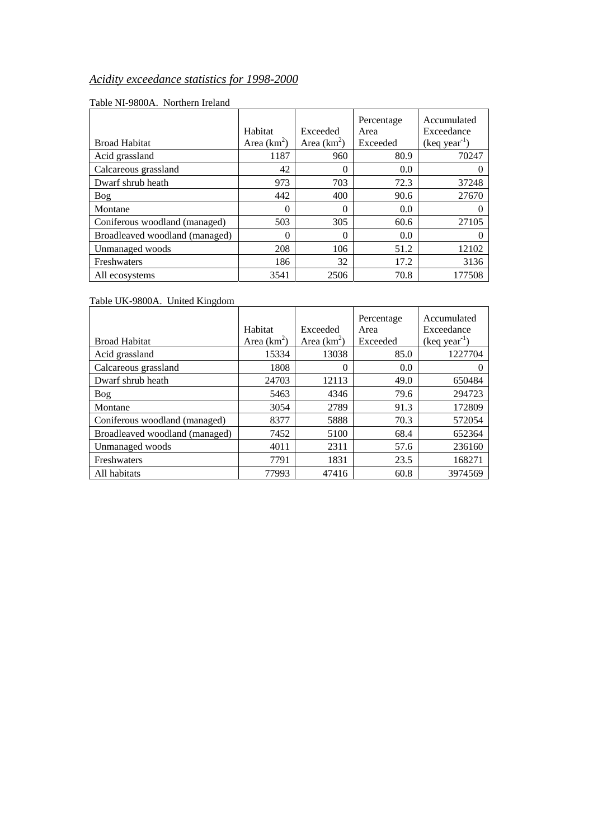# *Acidity exceedance statistics for 1998-2000*

| <b>Broad Habitat</b>           | Habitat<br>Area $(km^2)$ | Exceeded<br>Area $(km^2)$ | Percentage<br>Area<br>Exceeded | Accumulated<br>Exceedance<br>$(keq year-1)$ |
|--------------------------------|--------------------------|---------------------------|--------------------------------|---------------------------------------------|
| Acid grassland                 | 1187                     | 960                       | 80.9                           | 70247                                       |
| Calcareous grassland           | 42                       | 0                         | 0.0                            |                                             |
| Dwarf shrub heath              | 973                      | 703                       | 72.3                           | 37248                                       |
| Bog                            | 442                      | 400                       | 90.6                           | 27670                                       |
| Montane                        | 0                        | $\Omega$                  | 0.0                            |                                             |
| Coniferous woodland (managed)  | 503                      | 305                       | 60.6                           | 27105                                       |
| Broadleaved woodland (managed) | 0                        | $\Omega$                  | 0.0                            |                                             |
| Unmanaged woods                | 208                      | 106                       | 51.2                           | 12102                                       |
| Freshwaters                    | 186                      | 32                        | 17.2                           | 3136                                        |
| All ecosystems                 | 3541                     | 2506                      | 70.8                           | 177508                                      |

## Table NI-9800A. Northern Ireland

Table UK-9800A. United Kingdom

|                                | Habitat       | Exceeded      | Percentage<br>Area | Accumulated<br>Exceedance |
|--------------------------------|---------------|---------------|--------------------|---------------------------|
| <b>Broad Habitat</b>           | Area $(km^2)$ | Area $(km^2)$ | Exceeded           | $(keq year-1)$            |
| Acid grassland                 | 15334         | 13038         | 85.0               | 1227704                   |
| Calcareous grassland           | 1808          | 0             | 0.0                |                           |
| Dwarf shrub heath              | 24703         | 12113         | 49.0               | 650484                    |
| Bog                            | 5463          | 4346          | 79.6               | 294723                    |
| Montane                        | 3054          | 2789          | 91.3               | 172809                    |
| Coniferous woodland (managed)  | 8377          | 5888          | 70.3               | 572054                    |
| Broadleaved woodland (managed) | 7452          | 5100          | 68.4               | 652364                    |
| Unmanaged woods                | 4011          | 2311          | 57.6               | 236160                    |
| Freshwaters                    | 7791          | 1831          | 23.5               | 168271                    |
| All habitats                   | 77993         | 47416         | 60.8               | 3974569                   |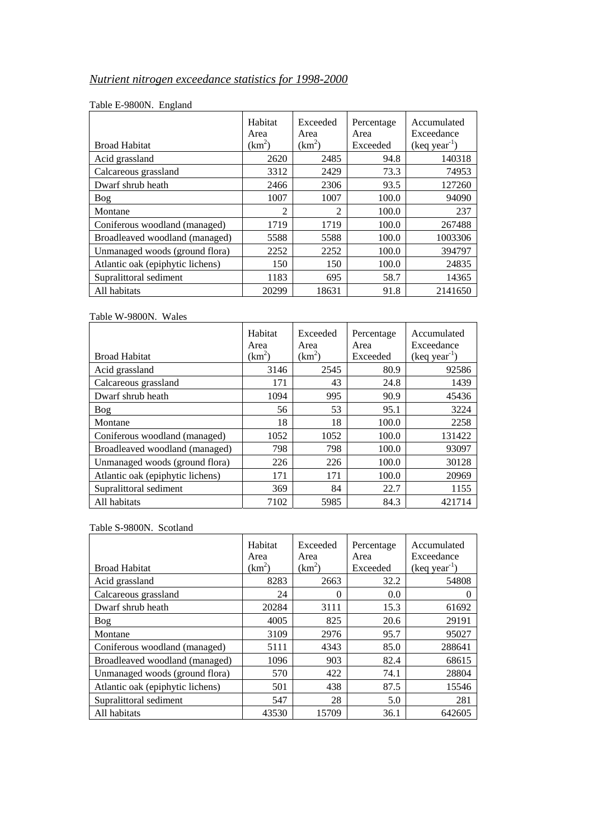# *Nutrient nitrogen exceedance statistics for 1998-2000*

|                                  | Habitat<br>Area | Exceeded<br>Area | Percentage<br>Area | Accumulated<br>Exceedance |
|----------------------------------|-----------------|------------------|--------------------|---------------------------|
| <b>Broad Habitat</b>             | $(km^2)$        | $(km^2)$         | Exceeded           | $(keq year-1)$            |
| Acid grassland                   | 2620            | 2485             | 94.8               | 140318                    |
| Calcareous grassland             | 3312            | 2429             | 73.3               | 74953                     |
| Dwarf shrub heath                | 2466            | 2306             | 93.5               | 127260                    |
| Bog                              | 1007            | 1007             | 100.0              | 94090                     |
| Montane                          | $\overline{2}$  | 2                | 100.0              | 237                       |
| Coniferous woodland (managed)    | 1719            | 1719             | 100.0              | 267488                    |
| Broadleaved woodland (managed)   | 5588            | 5588             | 100.0              | 1003306                   |
| Unmanaged woods (ground flora)   | 2252            | 2252             | 100.0              | 394797                    |
| Atlantic oak (epiphytic lichens) | 150             | 150              | 100.0              | 24835                     |
| Supralittoral sediment           | 1183            | 695              | 58.7               | 14365                     |
| All habitats                     | 20299           | 18631            | 91.8               | 2141650                   |

#### Table E-9800N. England

## Table W-9800N. Wales

|                                  | Habitat<br>Area | Exceeded<br>Area | Percentage<br>Area | Accumulated<br>Exceedance |
|----------------------------------|-----------------|------------------|--------------------|---------------------------|
| <b>Broad Habitat</b>             | $(km^2)$        | $(km^2)$         | Exceeded           | $(keq year-1)$            |
| Acid grassland                   | 3146            | 2545             | 80.9               | 92586                     |
| Calcareous grassland             | 171             | 43               | 24.8               | 1439                      |
| Dwarf shrub heath                | 1094            | 995              | 90.9               | 45436                     |
| Bog                              | 56              | 53               | 95.1               | 3224                      |
| Montane                          | 18              | 18               | 100.0              | 2258                      |
| Coniferous woodland (managed)    | 1052            | 1052             | 100.0              | 131422                    |
| Broadleaved woodland (managed)   | 798             | 798              | 100.0              | 93097                     |
| Unmanaged woods (ground flora)   | 226             | 226              | 100.0              | 30128                     |
| Atlantic oak (epiphytic lichens) | 171             | 171              | 100.0              | 20969                     |
| Supralittoral sediment           | 369             | 84               | 22.7               | 1155                      |
| All habitats                     | 7102            | 5985             | 84.3               | 421714                    |

#### Table S-9800N. Scotland

|                                  | Habitat<br>Area | Exceeded<br>Area   | Percentage<br>Area | Accumulated<br>Exceedance |
|----------------------------------|-----------------|--------------------|--------------------|---------------------------|
| <b>Broad Habitat</b>             | $(km^2)$        | (km <sup>2</sup> ) | Exceeded           | $(keq year-1)$            |
| Acid grassland                   | 8283            | 2663               | 32.2               | 54808                     |
| Calcareous grassland             | 24              | $\Omega$           | 0.0                |                           |
| Dwarf shrub heath                | 20284           | 3111               | 15.3               | 61692                     |
| Bog                              | 4005            | 825                | 20.6               | 29191                     |
| Montane                          | 3109            | 2976               | 95.7               | 95027                     |
| Coniferous woodland (managed)    | 5111            | 4343               | 85.0               | 288641                    |
| Broadleaved woodland (managed)   | 1096            | 903                | 82.4               | 68615                     |
| Unmanaged woods (ground flora)   | 570             | 422                | 74.1               | 28804                     |
| Atlantic oak (epiphytic lichens) | 501             | 438                | 87.5               | 15546                     |
| Supralittoral sediment           | 547             | 28                 | 5.0                | 281                       |
| All habitats                     | 43530           | 15709              | 36.1               | 642605                    |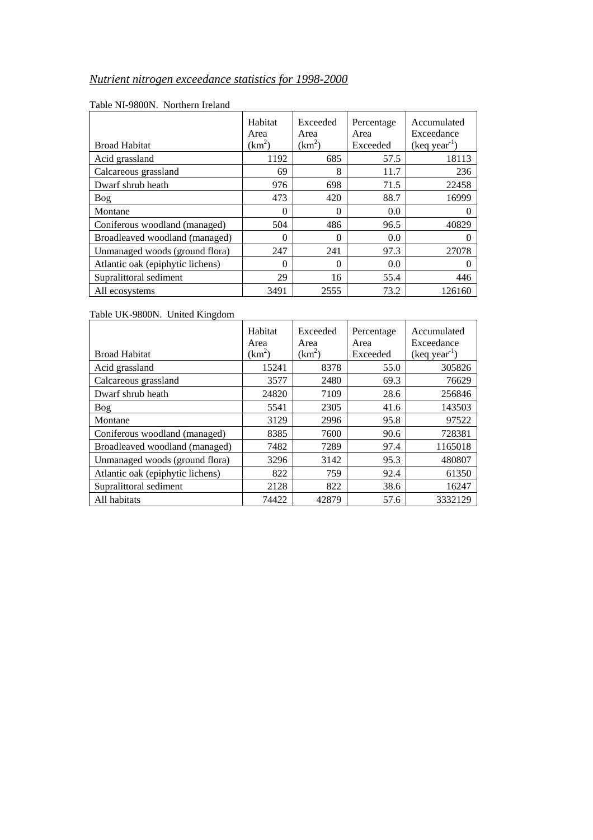# *Nutrient nitrogen exceedance statistics for 1998-2000*

| <b>Broad Habitat</b>             | Habitat<br>Area<br>$(km^2)$ | Exceeded<br>Area<br>$(km^2)$ | Percentage<br>Area<br>Exceeded | Accumulated<br>Exceedance<br>$(keq year-1)$ |
|----------------------------------|-----------------------------|------------------------------|--------------------------------|---------------------------------------------|
| Acid grassland                   | 1192                        | 685                          | 57.5                           | 18113                                       |
| Calcareous grassland             | 69                          | 8                            | 11.7                           | 236                                         |
| Dwarf shrub heath                | 976                         | 698                          | 71.5                           | 22458                                       |
| <b>Bog</b>                       | 473                         | 420                          | 88.7                           | 16999                                       |
| Montane                          | $\theta$                    | 0                            | 0.0                            |                                             |
| Coniferous woodland (managed)    | 504                         | 486                          | 96.5                           | 40829                                       |
| Broadleaved woodland (managed)   | $\theta$                    | 0                            | 0.0                            |                                             |
| Unmanaged woods (ground flora)   | 247                         | 241                          | 97.3                           | 27078                                       |
| Atlantic oak (epiphytic lichens) | $\Omega$                    | $\theta$                     | 0.0                            |                                             |
| Supralittoral sediment           | 29                          | 16                           | 55.4                           | 446                                         |
| All ecosystems                   | 3491                        | 2555                         | 73.2                           | 126160                                      |

#### Table NI-9800N. Northern Ireland

## Table UK-9800N. United Kingdom

|                                  | Habitat<br>Area | Exceeded<br>Area | Percentage<br>Area | Accumulated<br>Exceedance |
|----------------------------------|-----------------|------------------|--------------------|---------------------------|
| <b>Broad Habitat</b>             | $(km^2)$        | $(km^2)$         | Exceeded           | $(keq year-1)$            |
| Acid grassland                   | 15241           | 8378             | 55.0               | 305826                    |
| Calcareous grassland             | 3577            | 2480             | 69.3               | 76629                     |
| Dwarf shrub heath                | 24820           | 7109             | 28.6               | 256846                    |
| Bog                              | 5541            | 2305             | 41.6               | 143503                    |
| Montane                          | 3129            | 2996             | 95.8               | 97522                     |
| Coniferous woodland (managed)    | 8385            | 7600             | 90.6               | 728381                    |
| Broadleaved woodland (managed)   | 7482            | 7289             | 97.4               | 1165018                   |
| Unmanaged woods (ground flora)   | 3296            | 3142             | 95.3               | 480807                    |
| Atlantic oak (epiphytic lichens) | 822             | 759              | 92.4               | 61350                     |
| Supralittoral sediment           | 2128            | 822              | 38.6               | 16247                     |
| All habitats                     | 74422           | 42879            | 57.6               | 3332129                   |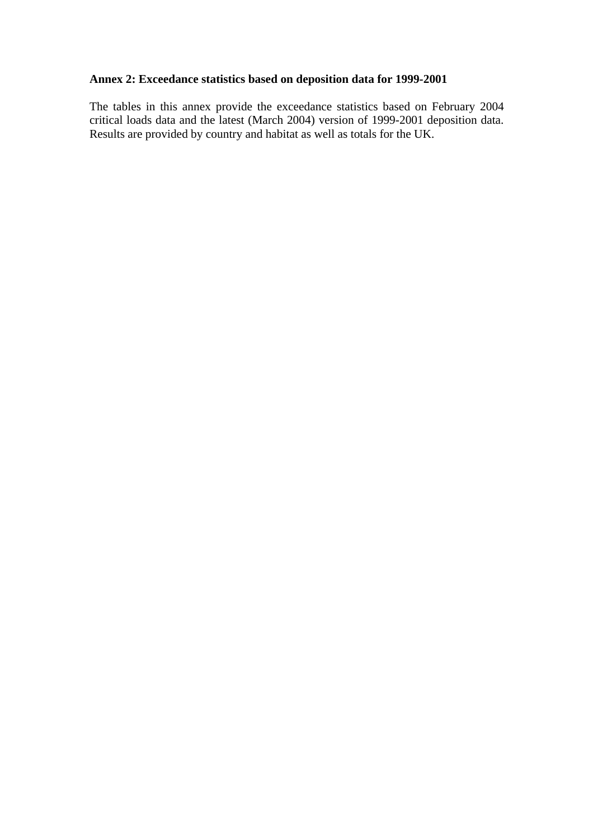# **Annex 2: Exceedance statistics based on deposition data for 1999-2001**

The tables in this annex provide the exceedance statistics based on February 2004 critical loads data and the latest (March 2004) version of 1999-2001 deposition data. Results are provided by country and habitat as well as totals for the UK.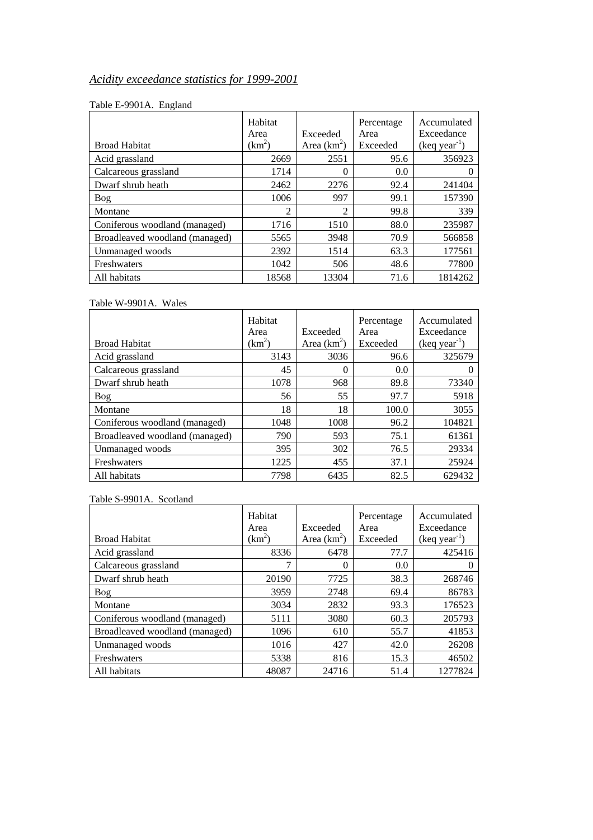# *Acidity exceedance statistics for 1999-2001*

#### Table E-9901A. England

| <b>Broad Habitat</b>           | Habitat<br>Area<br>$(km^2)$ | Exceeded<br>Area $(km^2)$ | Percentage<br>Area<br>Exceeded | Accumulated<br>Exceedance<br>$(keq year-1)$ |
|--------------------------------|-----------------------------|---------------------------|--------------------------------|---------------------------------------------|
| Acid grassland                 | 2669                        | 2551                      | 95.6                           | 356923                                      |
|                                |                             |                           |                                |                                             |
| Calcareous grassland           | 1714                        | $\theta$                  | 0.0                            |                                             |
| Dwarf shrub heath              | 2462                        | 2276                      | 92.4                           | 241404                                      |
| Bog                            | 1006                        | 997                       | 99.1                           | 157390                                      |
| Montane                        | $\overline{c}$              | $\overline{2}$            | 99.8                           | 339                                         |
| Coniferous woodland (managed)  | 1716                        | 1510                      | 88.0                           | 235987                                      |
| Broadleaved woodland (managed) | 5565                        | 3948                      | 70.9                           | 566858                                      |
| Unmanaged woods                | 2392                        | 1514                      | 63.3                           | 177561                                      |
| Freshwaters                    | 1042                        | 506                       | 48.6                           | 77800                                       |
| All habitats                   | 18568                       | 13304                     | 71.6                           | 1814262                                     |

## Table W-9901A. Wales

| <b>Broad Habitat</b>           | Habitat<br>Area<br>(km <sup>2</sup> ) | Exceeded<br>Area $(km^2)$ | Percentage<br>Area<br>Exceeded | Accumulated<br>Exceedance<br>$(keq year-1)$ |
|--------------------------------|---------------------------------------|---------------------------|--------------------------------|---------------------------------------------|
| Acid grassland                 | 3143                                  | 3036                      | 96.6                           | 325679                                      |
| Calcareous grassland           | 45                                    | $\theta$                  | 0.0                            | $\theta$                                    |
| Dwarf shrub heath              | 1078                                  | 968                       | 89.8                           | 73340                                       |
| <b>Bog</b>                     | 56                                    | 55                        | 97.7                           | 5918                                        |
| Montane                        | 18                                    | 18                        | 100.0                          | 3055                                        |
| Coniferous woodland (managed)  | 1048                                  | 1008                      | 96.2                           | 104821                                      |
| Broadleaved woodland (managed) | 790                                   | 593                       | 75.1                           | 61361                                       |
| Unmanaged woods                | 395                                   | 302                       | 76.5                           | 29334                                       |
| Freshwaters                    | 1225                                  | 455                       | 37.1                           | 25924                                       |
| All habitats                   | 7798                                  | 6435                      | 82.5                           | 629432                                      |

## Table S-9901A. Scotland

| <b>Broad Habitat</b>           | Habitat<br>Area<br>$(km^2)$ | Exceeded<br>Area $(km^2)$ | Percentage<br>Area<br>Exceeded | Accumulated<br>Exceedance<br>$(keq year-1)$ |
|--------------------------------|-----------------------------|---------------------------|--------------------------------|---------------------------------------------|
| Acid grassland                 | 8336                        | 6478                      | 77.7                           | 425416                                      |
| Calcareous grassland           | 7                           | $\theta$                  | 0.0                            |                                             |
| Dwarf shrub heath              | 20190                       | 7725                      | 38.3                           | 268746                                      |
| Bog                            | 3959                        | 2748                      | 69.4                           | 86783                                       |
| Montane                        | 3034                        | 2832                      | 93.3                           | 176523                                      |
| Coniferous woodland (managed)  | 5111                        | 3080                      | 60.3                           | 205793                                      |
| Broadleaved woodland (managed) | 1096                        | 610                       | 55.7                           | 41853                                       |
| Unmanaged woods                | 1016                        | 427                       | 42.0                           | 26208                                       |
| Freshwaters                    | 5338                        | 816                       | 15.3                           | 46502                                       |
| All habitats                   | 48087                       | 24716                     | 51.4                           | 1277824                                     |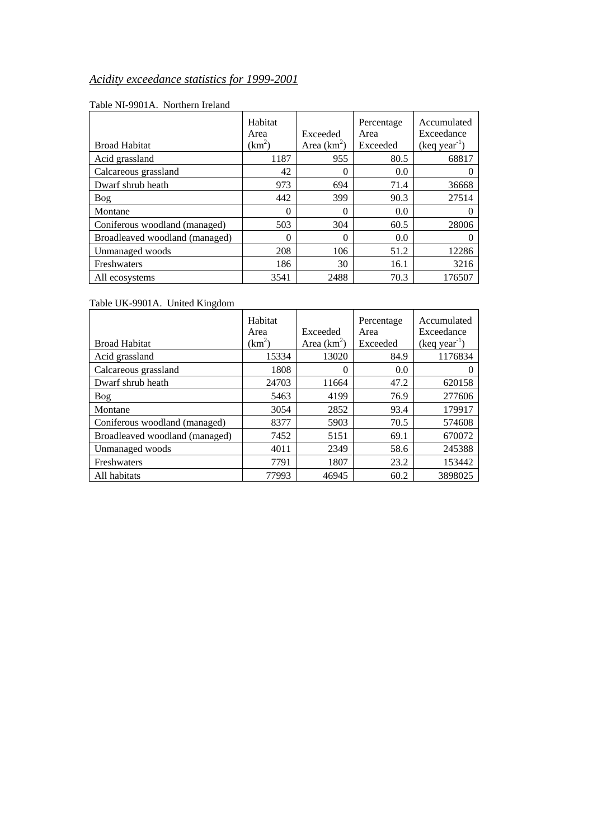# *Acidity exceedance statistics for 1999-2001*

|                                | Habitat<br>Area | Exceeded      | Percentage<br>Area | Accumulated<br>Exceedance |
|--------------------------------|-----------------|---------------|--------------------|---------------------------|
| <b>Broad Habitat</b>           | $(km^2)$        | Area $(km^2)$ | Exceeded           | $(keq year-1)$            |
| Acid grassland                 | 1187            | 955           | 80.5               | 68817                     |
| Calcareous grassland           | 42              |               | 0.0                |                           |
| Dwarf shrub heath              | 973             | 694           | 71.4               | 36668                     |
| Bog                            | 442             | 399           | 90.3               | 27514                     |
| Montane                        | $\theta$        | 0             | 0.0                |                           |
| Coniferous woodland (managed)  | 503             | 304           | 60.5               | 28006                     |
| Broadleaved woodland (managed) | 0               |               | 0.0                |                           |
| Unmanaged woods                | 208             | 106           | 51.2               | 12286                     |
| Freshwaters                    | 186             | 30            | 16.1               | 3216                      |
| All ecosystems                 | 3541            | 2488          | 70.3               | 176507                    |

#### Table NI-9901A. Northern Ireland

Table UK-9901A. United Kingdom

| <b>Broad Habitat</b>           | Habitat<br>Area<br>$(km^2)$ | Exceeded<br>Area $(km^2)$ | Percentage<br>Area<br>Exceeded | Accumulated<br>Exceedance<br>$(keq year-1)$ |
|--------------------------------|-----------------------------|---------------------------|--------------------------------|---------------------------------------------|
| Acid grassland                 | 15334                       | 13020                     | 84.9                           | 1176834                                     |
| Calcareous grassland           | 1808                        | 0                         | 0.0                            |                                             |
| Dwarf shrub heath              | 24703                       | 11664                     | 47.2                           | 620158                                      |
| <b>Bog</b>                     | 5463                        | 4199                      | 76.9                           | 277606                                      |
| Montane                        | 3054                        | 2852                      | 93.4                           | 179917                                      |
| Coniferous woodland (managed)  | 8377                        | 5903                      | 70.5                           | 574608                                      |
| Broadleaved woodland (managed) | 7452                        | 5151                      | 69.1                           | 670072                                      |
| Unmanaged woods                | 4011                        | 2349                      | 58.6                           | 245388                                      |
| Freshwaters                    | 7791                        | 1807                      | 23.2                           | 153442                                      |
| All habitats                   | 77993                       | 46945                     | 60.2                           | 3898025                                     |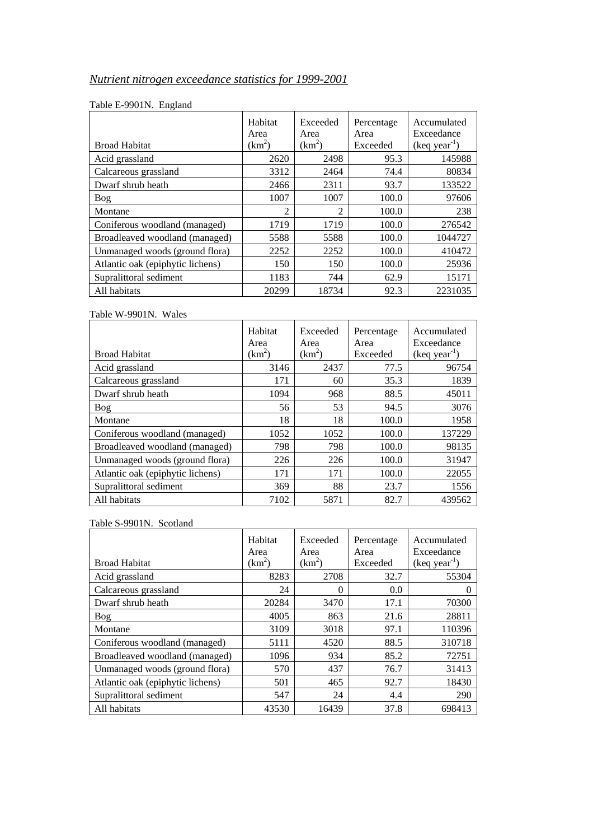# *Nutrient nitrogen exceedance statistics for 1999-2001*

| o                                | Habitat<br>Area | Exceeded<br>Area | Percentage<br>Area | Accumulated<br>Exceedance |
|----------------------------------|-----------------|------------------|--------------------|---------------------------|
| <b>Broad Habitat</b>             | $(km^2)$        | $(km^2)$         | Exceeded           | $(keq year-1)$            |
| Acid grassland                   | 2620            | 2498             | 95.3               | 145988                    |
| Calcareous grassland             | 3312            | 2464             | 74.4               | 80834                     |
| Dwarf shrub heath                | 2466            | 2311             | 93.7               | 133522                    |
| <b>Bog</b>                       | 1007            | 1007             | 100.0              | 97606                     |
| Montane                          | 2               | $\overline{c}$   | 100.0              | 238                       |
| Coniferous woodland (managed)    | 1719            | 1719             | 100.0              | 276542                    |
| Broadleaved woodland (managed)   | 5588            | 5588             | 100.0              | 1044727                   |
| Unmanaged woods (ground flora)   | 2252            | 2252             | 100.0              | 410472                    |
| Atlantic oak (epiphytic lichens) | 150             | 150              | 100.0              | 25936                     |
| Supralittoral sediment           | 1183            | 744              | 62.9               | 15171                     |
| All habitats                     | 20299           | 18734            | 92.3               | 2231035                   |

## Table E-9901N. England

#### Table W-9901N. Wales

|                                  | Habitat<br>Area | Exceeded<br>Area | Percentage<br>Area | Accumulated<br>Exceedance |
|----------------------------------|-----------------|------------------|--------------------|---------------------------|
| <b>Broad Habitat</b>             | $(km^2)$        | $(km^2)$         | Exceeded           | $(keq year-1)$            |
| Acid grassland                   | 3146            | 2437             | 77.5               | 96754                     |
| Calcareous grassland             | 171             | 60               | 35.3               | 1839                      |
| Dwarf shrub heath                | 1094            | 968              | 88.5               | 45011                     |
| Bog                              | 56              | 53               | 94.5               | 3076                      |
| Montane                          | 18              | 18               | 100.0              | 1958                      |
| Coniferous woodland (managed)    | 1052            | 1052             | 100.0              | 137229                    |
| Broadleaved woodland (managed)   | 798             | 798              | 100.0              | 98135                     |
| Unmanaged woods (ground flora)   | 226             | 226              | 100.0              | 31947                     |
| Atlantic oak (epiphytic lichens) | 171             | 171              | 100.0              | 22055                     |
| Supralittoral sediment           | 369             | 88               | 23.7               | 1556                      |
| All habitats                     | 7102            | 5871             | 82.7               | 439562                    |

## Table S-9901N. Scotland

|                                  | Habitat<br>Area | Exceeded<br>Area | Percentage<br>Area | Accumulated<br>Exceedance |
|----------------------------------|-----------------|------------------|--------------------|---------------------------|
| <b>Broad Habitat</b>             | $(km^2)$        | $(km^2)$         | Exceeded           | $(keq year-1)$            |
| Acid grassland                   | 8283            | 2708             | 32.7               | 55304                     |
| Calcareous grassland             | 24              | $\theta$         | 0.0                | $\Omega$                  |
| Dwarf shrub heath                | 20284           | 3470             | 17.1               | 70300                     |
| Bog                              | 4005            | 863              | 21.6               | 28811                     |
| Montane                          | 3109            | 3018             | 97.1               | 110396                    |
| Coniferous woodland (managed)    | 5111            | 4520             | 88.5               | 310718                    |
| Broadleaved woodland (managed)   | 1096            | 934              | 85.2               | 72751                     |
| Unmanaged woods (ground flora)   | 570             | 437              | 76.7               | 31413                     |
| Atlantic oak (epiphytic lichens) | 501             | 465              | 92.7               | 18430                     |
| Supralittoral sediment           | 547             | 24               | 4.4                | 290                       |
| All habitats                     | 43530           | 16439            | 37.8               | 698413                    |